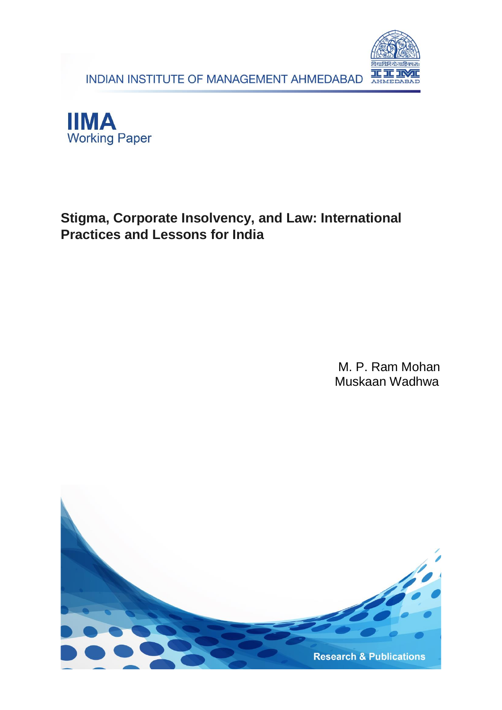INDIAN INSTITUTE OF MANAGEMENT AHMEDABAD





## **Stigma, Corporate Insolvency, and Law: International Practices and Lessons for India**

M. P. Ram Mohan Muskaan Wadhwa

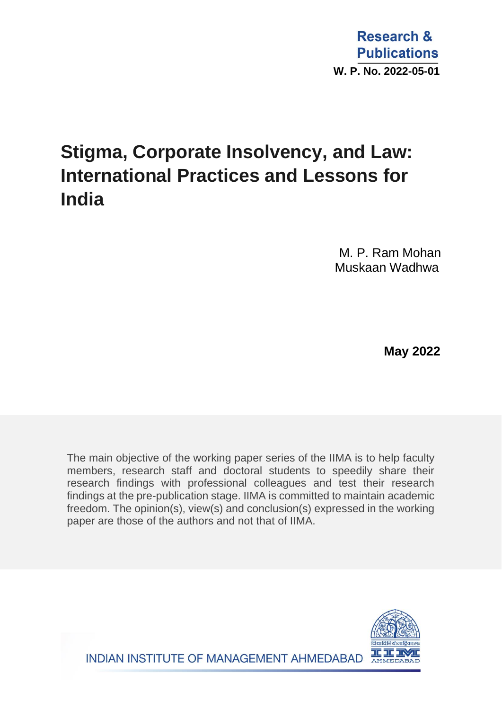# **Stigma, Corporate Insolvency, and Law: International Practices and Lessons for India**

M. P. Ram Mohan Muskaan Wadhwa

 **May 2022**

The main objective of the working paper series of the IIMA is to help faculty members, research staff and doctoral students to speedily share their research findings with professional colleagues and test their research findings at the pre-publication stage. IIMA is committed to maintain academic freedom. The opinion(s), view(s) and conclusion(s) expressed in the working paper are those of the authors and not that of IIMA.

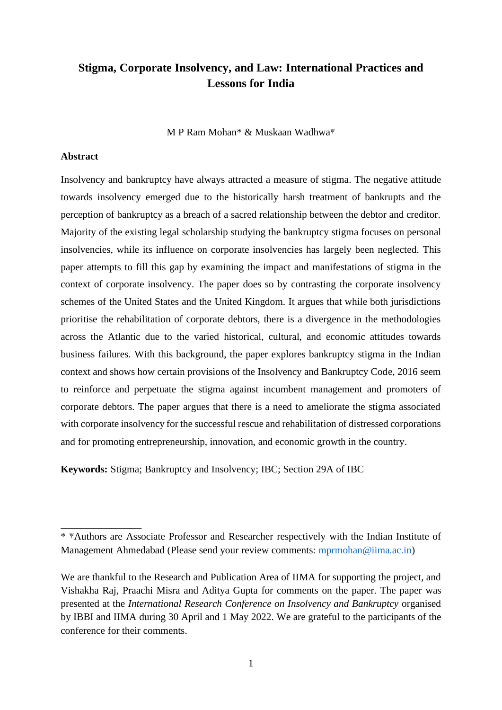## **Stigma, Corporate Insolvency, and Law: International Practices and Lessons for India**

M P Ram Mohan\* & Muskaan Wadhwa

#### **Abstract**

\_\_\_\_\_\_\_\_\_\_\_\_\_\_\_\_

Insolvency and bankruptcy have always attracted a measure of stigma. The negative attitude towards insolvency emerged due to the historically harsh treatment of bankrupts and the perception of bankruptcy as a breach of a sacred relationship between the debtor and creditor. Majority of the existing legal scholarship studying the bankruptcy stigma focuses on personal insolvencies, while its influence on corporate insolvencies has largely been neglected. This paper attempts to fill this gap by examining the impact and manifestations of stigma in the context of corporate insolvency. The paper does so by contrasting the corporate insolvency schemes of the United States and the United Kingdom. It argues that while both jurisdictions prioritise the rehabilitation of corporate debtors, there is a divergence in the methodologies across the Atlantic due to the varied historical, cultural, and economic attitudes towards business failures. With this background, the paper explores bankruptcy stigma in the Indian context and shows how certain provisions of the Insolvency and Bankruptcy Code, 2016 seem to reinforce and perpetuate the stigma against incumbent management and promoters of corporate debtors. The paper argues that there is a need to ameliorate the stigma associated with corporate insolvency for the successful rescue and rehabilitation of distressed corporations and for promoting entrepreneurship, innovation, and economic growth in the country.

**Keywords:** Stigma; Bankruptcy and Insolvency; IBC; Section 29A of IBC

<sup>\*</sup> Authors are Associate Professor and Researcher respectively with the Indian Institute of Management Ahmedabad (Please send your review comments: [mprmohan@iima.ac.in\)](mailto:mprmohan@iima.ac.in)

We are thankful to the Research and Publication Area of IIMA for supporting the project, and Vishakha Raj, Praachi Misra and Aditya Gupta for comments on the paper. The paper was presented at the *International Research Conference on Insolvency and Bankruptcy* organised by IBBI and IIMA during 30 April and 1 May 2022. We are grateful to the participants of the conference for their comments.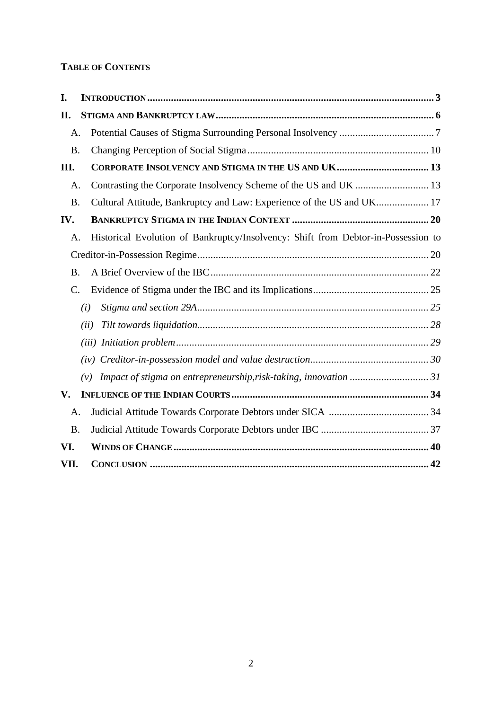### **TABLE OF CONTENTS**

<span id="page-3-0"></span>

| I.              |                                                                                   |
|-----------------|-----------------------------------------------------------------------------------|
| II.             |                                                                                   |
| A.              |                                                                                   |
| <b>B.</b>       |                                                                                   |
| Ш.              | CORPORATE INSOLVENCY AND STIGMA IN THE US AND UK 13                               |
| A.              | Contrasting the Corporate Insolvency Scheme of the US and UK  13                  |
| <b>B.</b>       | Cultural Attitude, Bankruptcy and Law: Experience of the US and UK 17             |
| IV.             |                                                                                   |
| A.              | Historical Evolution of Bankruptcy/Insolvency: Shift from Debtor-in-Possession to |
|                 |                                                                                   |
| <b>B.</b>       |                                                                                   |
| $\mathcal{C}$ . |                                                                                   |
|                 | (i)                                                                               |
|                 | (ii)                                                                              |
|                 |                                                                                   |
|                 |                                                                                   |
|                 | Impact of stigma on entrepreneurship, risk-taking, innovation 31<br>(v)           |
| V.              |                                                                                   |
| A.              |                                                                                   |
| <b>B.</b>       |                                                                                   |
| VI.             |                                                                                   |
| VII.            |                                                                                   |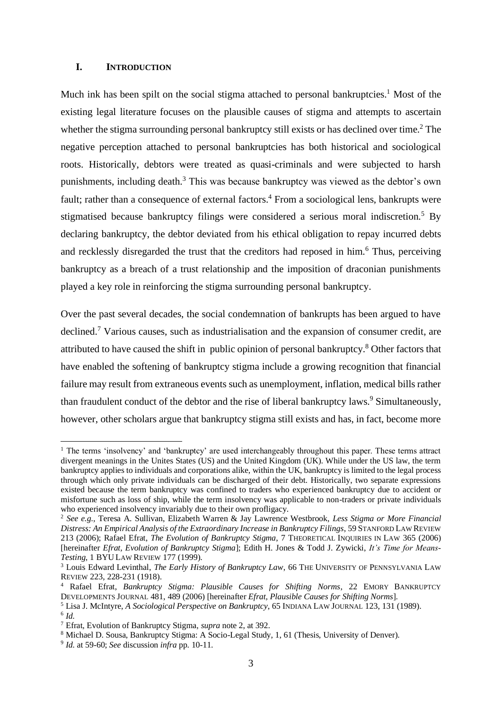#### **I. INTRODUCTION**

Much ink has been spilt on the social stigma attached to personal bankruptcies.<sup>1</sup> Most of the existing legal literature focuses on the plausible causes of stigma and attempts to ascertain whether the stigma surrounding personal bankruptcy still exists or has declined over time.<sup>2</sup> The negative perception attached to personal bankruptcies has both historical and sociological roots. Historically, debtors were treated as quasi-criminals and were subjected to harsh punishments, including death.<sup>3</sup> This was because bankruptcy was viewed as the debtor's own fault; rather than a consequence of external factors.<sup>4</sup> From a sociological lens, bankrupts were stigmatised because bankruptcy filings were considered a serious moral indiscretion.<sup>5</sup> By declaring bankruptcy, the debtor deviated from his ethical obligation to repay incurred debts and recklessly disregarded the trust that the creditors had reposed in him.<sup>6</sup> Thus, perceiving bankruptcy as a breach of a trust relationship and the imposition of draconian punishments played a key role in reinforcing the stigma surrounding personal bankruptcy.

Over the past several decades, the social condemnation of bankrupts has been argued to have declined.<sup>7</sup> Various causes, such as industrialisation and the expansion of consumer credit, are attributed to have caused the shift in public opinion of personal bankruptcy. <sup>8</sup> Other factors that have enabled the softening of bankruptcy stigma include a growing recognition that financial failure may result from extraneous events such as unemployment, inflation, medical bills rather than fraudulent conduct of the debtor and the rise of liberal bankruptcy laws. <sup>9</sup> Simultaneously, however, other scholars argue that bankruptcy stigma still exists and has, in fact, become more

<sup>&</sup>lt;sup>1</sup> The terms 'insolvency' and 'bankruptcy' are used interchangeably throughout this paper. These terms attract divergent meanings in the Unites States (US) and the United Kingdom (UK). While under the US law, the term bankruptcy applies to individuals and corporations alike, within the UK, bankruptcy is limited to the legal process through which only private individuals can be discharged of their debt. Historically, two separate expressions existed because the term bankruptcy was confined to traders who experienced bankruptcy due to accident or misfortune such as loss of ship, while the term insolvency was applicable to non-traders or private individuals who experienced insolvency invariably due to their own profligacy.

<sup>2</sup> *See e.g.,* Teresa A. Sullivan, Elizabeth Warren & Jay Lawrence Westbrook, *Less Stigma or More Financial Distress: An Empirical Analysis of the Extraordinary Increase in Bankruptcy Filings*, 59 STANFORD LAW REVIEW 213 (2006); Rafael Efrat, *The Evolution of Bankruptcy Stigma*, 7 THEORETICAL INQUIRIES IN LAW 365 (2006) [hereinafter *Efrat, Evolution of Bankruptcy Stigma*]; Edith H. Jones & Todd J. Zywicki, *It's Time for Means-Testing*, 1 BYU LAW REVIEW 177 (1999).

<sup>&</sup>lt;sup>3</sup> Louis Edward Levinthal, *The Early History of Bankruptcy Law*, 66 THE UNIVERSITY OF PENNSYLVANIA LAW REVIEW 223, 228-231 (1918).

<sup>4</sup> Rafael Efrat, *Bankruptcy Stigma: Plausible Causes for Shifting Norms*, 22 EMORY BANKRUPTCY DEVELOPMENTS JOURNAL 481, 489 (2006) [hereinafter *Efrat, Plausible Causes for Shifting Norms*].

<sup>5</sup> Lisa J. McIntyre, *A Sociological Perspective on Bankruptcy*, 65 INDIANA LAW JOURNAL 123, 131 (1989). 6 *Id.*

<sup>7</sup> Efrat, Evolution of Bankruptcy Stigma, *supra* note 2, at 392.

<sup>8</sup> Michael D. Sousa, Bankruptcy Stigma: A Socio-Legal Study, 1, 61 (Thesis, University of Denver).

<sup>9</sup> *Id.* at 59-60; *See* discussion *infra* pp. 10-11.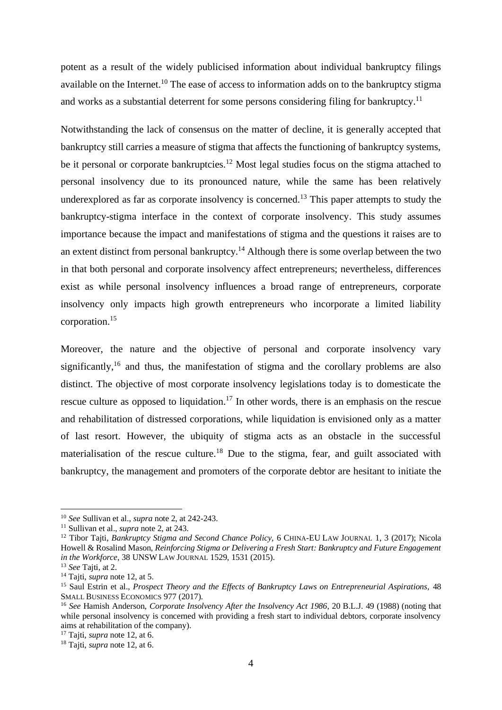potent as a result of the widely publicised information about individual bankruptcy filings available on the Internet.<sup>10</sup> The ease of access to information adds on to the bankruptcy stigma and works as a substantial deterrent for some persons considering filing for bankruptcy.<sup>11</sup>

Notwithstanding the lack of consensus on the matter of decline, it is generally accepted that bankruptcy still carries a measure of stigma that affects the functioning of bankruptcy systems, be it personal or corporate bankruptcies.<sup>12</sup> Most legal studies focus on the stigma attached to personal insolvency due to its pronounced nature, while the same has been relatively underexplored as far as corporate insolvency is concerned.<sup>13</sup> This paper attempts to study the bankruptcy-stigma interface in the context of corporate insolvency. This study assumes importance because the impact and manifestations of stigma and the questions it raises are to an extent distinct from personal bankruptcy.<sup>14</sup> Although there is some overlap between the two in that both personal and corporate insolvency affect entrepreneurs; nevertheless, differences exist as while personal insolvency influences a broad range of entrepreneurs, corporate insolvency only impacts high growth entrepreneurs who incorporate a limited liability corporation.<sup>15</sup>

Moreover, the nature and the objective of personal and corporate insolvency vary significantly,<sup>16</sup> and thus, the manifestation of stigma and the corollary problems are also distinct. The objective of most corporate insolvency legislations today is to domesticate the rescue culture as opposed to liquidation.<sup>17</sup> In other words, there is an emphasis on the rescue and rehabilitation of distressed corporations, while liquidation is envisioned only as a matter of last resort. However, the ubiquity of stigma acts as an obstacle in the successful materialisation of the rescue culture.<sup>18</sup> Due to the stigma, fear, and guilt associated with bankruptcy, the management and promoters of the corporate debtor are hesitant to initiate the

<sup>10</sup> *See* Sullivan et al., *supra* note 2, at 242-243.

<sup>11</sup> Sullivan et al., *supra* note 2, at 243.

<sup>&</sup>lt;sup>12</sup> Tibor Tajti, *Bankruptcy Stigma and Second Chance Policy*, 6 CHINA-EU LAW JOURNAL 1, 3 (2017); Nicola Howell & Rosalind Mason, *Reinforcing Stigma or Delivering a Fresh Start: Bankruptcy and Future Engagement in the Workforce*, 38 UNSW LAW JOURNAL 1529, 1531 (2015).

<sup>13</sup> *See* Tajti, at 2.

<sup>14</sup> Tajti, *supra* note 12, at 5.

<sup>15</sup> Saul Estrin et al., *Prospect Theory and the Effects of Bankruptcy Laws on Entrepreneurial Aspirations,* 48 SMALL BUSINESS ECONOMICS 977 (2017).

<sup>16</sup> *See* Hamish Anderson, *Corporate Insolvency After the Insolvency Act 1986*, 20 B.L.J. 49 (1988) (noting that while personal insolvency is concerned with providing a fresh start to individual debtors, corporate insolvency aims at rehabilitation of the company).

<sup>17</sup> Tajti, *supra* note 12, at 6.

<sup>18</sup> Tajti, *supra* note 12, at 6.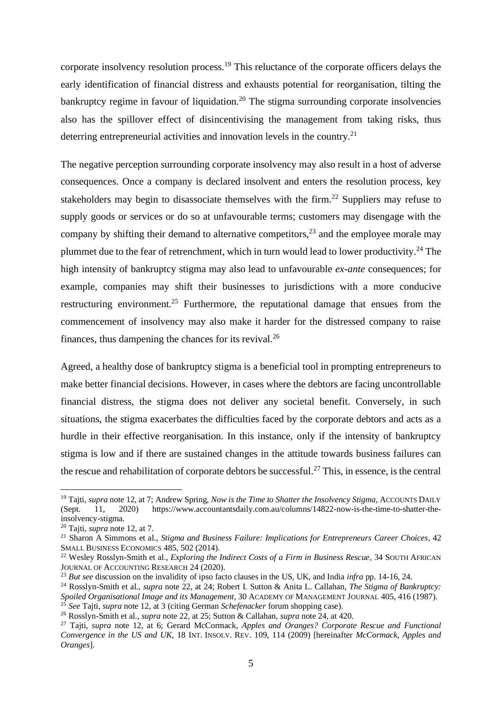corporate insolvency resolution process.<sup>19</sup> This reluctance of the corporate officers delays the early identification of financial distress and exhausts potential for reorganisation, tilting the bankruptcy regime in favour of liquidation.<sup>20</sup> The stigma surrounding corporate insolvencies also has the spillover effect of disincentivising the management from taking risks, thus deterring entrepreneurial activities and innovation levels in the country.<sup>21</sup>

The negative perception surrounding corporate insolvency may also result in a host of adverse consequences. Once a company is declared insolvent and enters the resolution process, key stakeholders may begin to disassociate themselves with the firm.<sup>22</sup> Suppliers may refuse to supply goods or services or do so at unfavourable terms; customers may disengage with the company by shifting their demand to alternative competitors,  $2<sup>3</sup>$  and the employee morale may plummet due to the fear of retrenchment, which in turn would lead to lower productivity.<sup>24</sup> The high intensity of bankruptcy stigma may also lead to unfavourable *ex-ante* consequences; for example, companies may shift their businesses to jurisdictions with a more conducive restructuring environment.<sup>25</sup> Furthermore, the reputational damage that ensues from the commencement of insolvency may also make it harder for the distressed company to raise finances, thus dampening the chances for its revival.<sup>26</sup>

Agreed, a healthy dose of bankruptcy stigma is a beneficial tool in prompting entrepreneurs to make better financial decisions. However, in cases where the debtors are facing uncontrollable financial distress, the stigma does not deliver any societal benefit. Conversely, in such situations, the stigma exacerbates the difficulties faced by the corporate debtors and acts as a hurdle in their effective reorganisation. In this instance, only if the intensity of bankruptcy stigma is low and if there are sustained changes in the attitude towards business failures can the rescue and rehabilitation of corporate debtors be successful.<sup>27</sup> This, in essence, is the central

<sup>&</sup>lt;sup>19</sup> Tajti, *supra* note 12, at 7; Andrew Spring, *Now is the Time to Shatter the Insolvency Stigma*, ACCOUNTS DAILY (Sept. 11, 2020) https://www.accountantsdaily.com.au/columns/14822-now-is-the-time-to-shatter-theinsolvency-stigma.

<sup>20</sup> Tajti, *supra* note 12, at 7.

<sup>21</sup> Sharon A Simmons et al., *Stigma and Business Failure: Implications for Entrepreneurs Career Choices*, 42 SMALL BUSINESS ECONOMICS 485, 502 (2014).

<sup>22</sup> Wesley Rosslyn-Smith et al., *Exploring the Indirect Costs of a Firm in Business Rescue*, 34 SOUTH AFRICAN JOURNAL OF ACCOUNTING RESEARCH 24 (2020).

<sup>23</sup> *But see* discussion on the invalidity of ipso facto clauses in the US, UK, and India *infra* pp. 14-16, 24.

<sup>24</sup> Rosslyn-Smith et al., *supra* note 22, at 24; Robert I. Sutton & Anita L. Callahan, *The Stigma of Bankruptcy: Spoiled Organisational Image and its Management*, 30 ACADEMY OF MANAGEMENT JOURNAL 405, 416 (1987). <sup>25</sup> *See* Tajti, *supra* note 12, at 3 (citing German *Schefenacker* forum shopping case).

<sup>26</sup> Rosslyn-Smith et al., *supra* note 22, at 25; Sutton & Callahan, *supra* note 24, at 420.

<sup>27</sup> Tajti, *supra* note 12, at 6; Gerard McCormack, *Apples and Oranges? Corporate Rescue and Functional Convergence in the US and UK*, 18 INT. INSOLV. REV. 109, 114 (2009) [hereinafter *McCormack, Apples and Oranges*].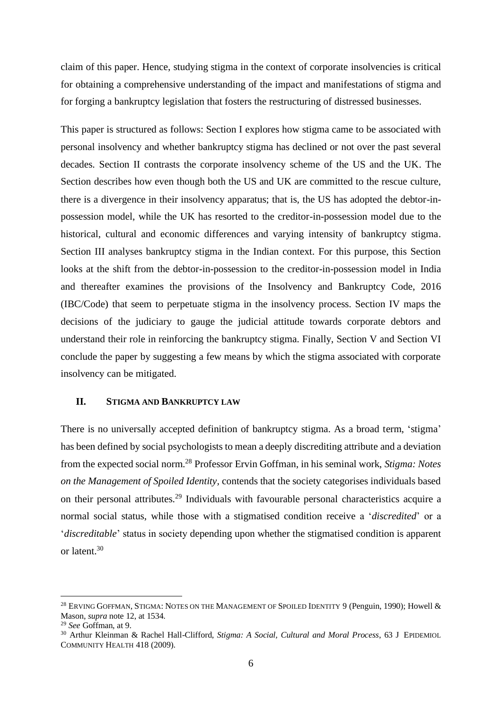claim of this paper. Hence, studying stigma in the context of corporate insolvencies is critical for obtaining a comprehensive understanding of the impact and manifestations of stigma and for forging a bankruptcy legislation that fosters the restructuring of distressed businesses.

This paper is structured as follows: Section I explores how stigma came to be associated with personal insolvency and whether bankruptcy stigma has declined or not over the past several decades. Section II contrasts the corporate insolvency scheme of the US and the UK. The Section describes how even though both the US and UK are committed to the rescue culture, there is a divergence in their insolvency apparatus; that is, the US has adopted the debtor-inpossession model, while the UK has resorted to the creditor-in-possession model due to the historical, cultural and economic differences and varying intensity of bankruptcy stigma. Section III analyses bankruptcy stigma in the Indian context. For this purpose, this Section looks at the shift from the debtor-in-possession to the creditor-in-possession model in India and thereafter examines the provisions of the Insolvency and Bankruptcy Code, 2016 (IBC/Code) that seem to perpetuate stigma in the insolvency process. Section IV maps the decisions of the judiciary to gauge the judicial attitude towards corporate debtors and understand their role in reinforcing the bankruptcy stigma. Finally, Section V and Section VI conclude the paper by suggesting a few means by which the stigma associated with corporate insolvency can be mitigated.

#### <span id="page-7-0"></span>**II. STIGMA AND BANKRUPTCY LAW**

There is no universally accepted definition of bankruptcy stigma. As a broad term, 'stigma' has been defined by social psychologists to mean a deeply discrediting attribute and a deviation from the expected social norm.<sup>28</sup> Professor Ervin Goffman, in his seminal work, *Stigma: Notes on the Management of Spoiled Identity,* contends that the society categorises individuals based on their personal attributes.<sup>29</sup> Individuals with favourable personal characteristics acquire a normal social status, while those with a stigmatised condition receive a '*discredited*' or a '*discreditable*' status in society depending upon whether the stigmatised condition is apparent or latent. 30

<sup>&</sup>lt;sup>28</sup> ERVING GOFFMAN, STIGMA: NOTES ON THE MANAGEMENT OF SPOILED IDENTITY 9 (Penguin, 1990); Howell & Mason, *supra* note 12, at 1534.

<sup>29</sup> *See* Goffman, at 9.

<sup>30</sup> Arthur Kleinman & Rachel Hall-Clifford, *Stigma: A Social, Cultural and Moral Process*, 63 J EPIDEMIOL COMMUNITY HEALTH 418 (2009).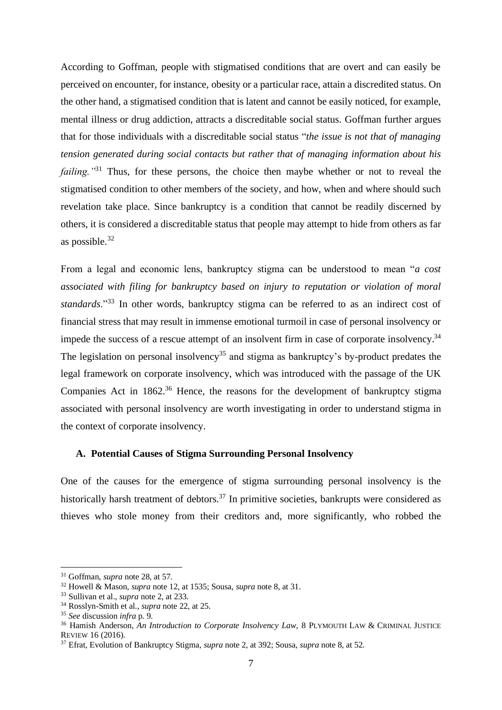According to Goffman, people with stigmatised conditions that are overt and can easily be perceived on encounter, for instance, obesity or a particular race, attain a discredited status. On the other hand, a stigmatised condition that is latent and cannot be easily noticed, for example, mental illness or drug addiction, attracts a discreditable social status. Goffman further argues that for those individuals with a discreditable social status "*the issue is not that of managing tension generated during social contacts but rather that of managing information about his failing.*"<sup>31</sup> Thus, for these persons, the choice then maybe whether or not to reveal the stigmatised condition to other members of the society, and how, when and where should such revelation take place. Since bankruptcy is a condition that cannot be readily discerned by others, it is considered a discreditable status that people may attempt to hide from others as far as possible.<sup>32</sup>

From a legal and economic lens, bankruptcy stigma can be understood to mean "*a cost associated with filing for bankruptcy based on injury to reputation or violation of moral standards*."<sup>33</sup> In other words, bankruptcy stigma can be referred to as an indirect cost of financial stress that may result in immense emotional turmoil in case of personal insolvency or impede the success of a rescue attempt of an insolvent firm in case of corporate insolvency.<sup>34</sup> The legislation on personal insolvency<sup>35</sup> and stigma as bankruptcy's by-product predates the legal framework on corporate insolvency, which was introduced with the passage of the UK Companies Act in  $1862<sup>36</sup>$  Hence, the reasons for the development of bankruptcy stigma associated with personal insolvency are worth investigating in order to understand stigma in the context of corporate insolvency.

#### <span id="page-8-0"></span>**A. Potential Causes of Stigma Surrounding Personal Insolvency**

One of the causes for the emergence of stigma surrounding personal insolvency is the historically harsh treatment of debtors.<sup>37</sup> In primitive societies, bankrupts were considered as thieves who stole money from their creditors and, more significantly, who robbed the

<sup>31</sup> Goffman, *supra* note 28, at 57.

<sup>32</sup> Howell & Mason, *supra* note 12, at 1535; Sousa, *supra* note 8, at 31.

<sup>33</sup> Sullivan et al., *supra* note 2, at 233.

<sup>34</sup> Rosslyn-Smith et al., *supra* note 22, at 25.

<sup>35</sup> *See* discussion *infra* p. 9.

<sup>&</sup>lt;sup>36</sup> Hamish Anderson, *An Introduction to Corporate Insolvency Law*, 8 PLYMOUTH LAW & CRIMINAL JUSTICE REVIEW 16 (2016).

<sup>37</sup> Efrat, Evolution of Bankruptcy Stigma, *supra* note 2, at 392; Sousa, *supra* note 8, at 52.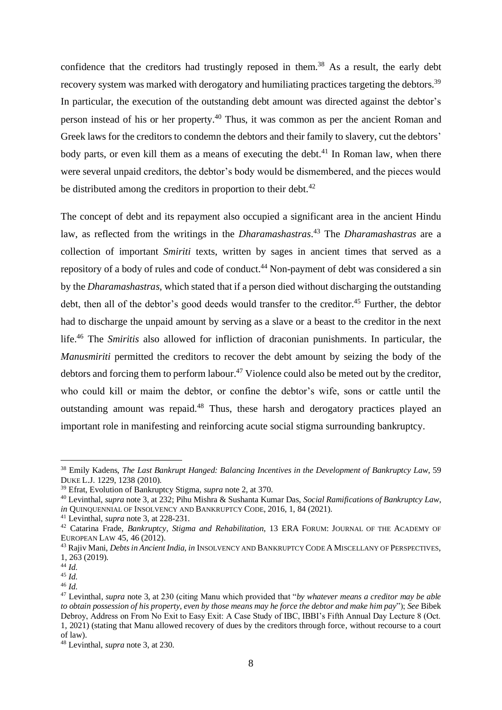confidence that the creditors had trustingly reposed in them.<sup>38</sup> As a result, the early debt recovery system was marked with derogatory and humiliating practices targeting the debtors.<sup>39</sup> In particular, the execution of the outstanding debt amount was directed against the debtor's person instead of his or her property.<sup>40</sup> Thus, it was common as per the ancient Roman and Greek laws for the creditors to condemn the debtors and their family to slavery, cut the debtors' body parts, or even kill them as a means of executing the debt.<sup>41</sup> In Roman law, when there were several unpaid creditors, the debtor's body would be dismembered, and the pieces would be distributed among the creditors in proportion to their debt.<sup>42</sup>

The concept of debt and its repayment also occupied a significant area in the ancient Hindu law, as reflected from the writings in the *Dharamashastras*. <sup>43</sup> The *Dharamashastras* are a collection of important *Smiriti* texts, written by sages in ancient times that served as a repository of a body of rules and code of conduct.<sup>44</sup> Non-payment of debt was considered a sin by the *Dharamashastras*, which stated that if a person died without discharging the outstanding debt, then all of the debtor's good deeds would transfer to the creditor.<sup>45</sup> Further, the debtor had to discharge the unpaid amount by serving as a slave or a beast to the creditor in the next life. <sup>46</sup> The *Smiritis* also allowed for infliction of draconian punishments. In particular, the *Manusmiriti* permitted the creditors to recover the debt amount by seizing the body of the debtors and forcing them to perform labour.<sup>47</sup> Violence could also be meted out by the creditor, who could kill or maim the debtor, or confine the debtor's wife, sons or cattle until the outstanding amount was repaid.<sup>48</sup> Thus, these harsh and derogatory practices played an important role in manifesting and reinforcing acute social stigma surrounding bankruptcy.

<sup>38</sup> Emily Kadens, *The Last Bankrupt Hanged: Balancing Incentives in the Development of Bankruptcy Law*, 59 DUKE L.J. 1229, 1238 (2010).

<sup>39</sup> Efrat, Evolution of Bankruptcy Stigma, *supra* note 2, at 370.

<sup>40</sup> Levinthal, *supra* note 3, at 232; Pihu Mishra & Sushanta Kumar Das, *Social Ramifications of Bankruptcy Law*, *in* QUINQUENNIAL OF INSOLVENCY AND BANKRUPTCY CODE, 2016, 1, 84 (2021).

<sup>41</sup> Levinthal, *supra* note 3, at 228-231.

<sup>42</sup> Catarina Frade, *Bankruptcy, Stigma and Rehabilitation*, 13 ERA FORUM: JOURNAL OF THE ACADEMY OF EUROPEAN LAW 45, 46 (2012).

<sup>43</sup> Rajiv Mani, *Debts in Ancient India, in* INSOLVENCY AND BANKRUPTCY CODE A MISCELLANY OF PERSPECTIVES, 1, 263 (2019).

 $44$  *Id.* 

<sup>45</sup> *Id.*

<sup>46</sup> *Id.*

<sup>47</sup> Levinthal, *supra* note 3, at 230 (citing Manu which provided that "*by whatever means a creditor may be able to obtain possession of his property, even by those means may he force the debtor and make him pay*"); *See* Bibek Debroy, Address on From No Exit to Easy Exit: A Case Study of IBC, IBBI's Fifth Annual Day Lecture 8 (Oct. 1, 2021) (stating that Manu allowed recovery of dues by the creditors through force, without recourse to a court of law).

<sup>48</sup> Levinthal, *supra* note 3, at 230.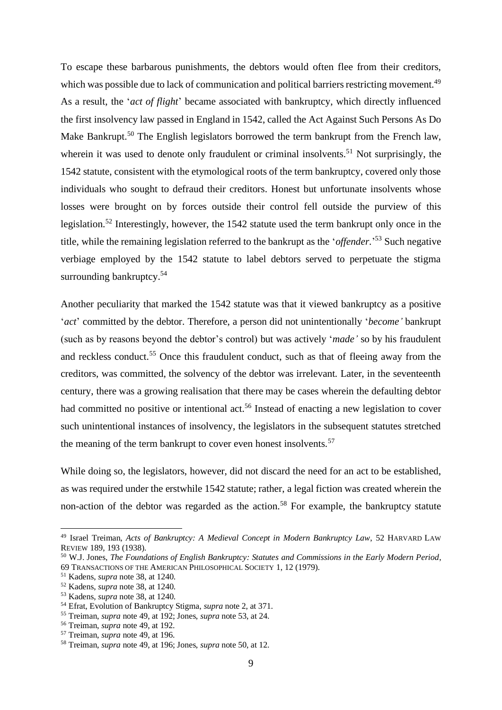To escape these barbarous punishments, the debtors would often flee from their creditors, which was possible due to lack of communication and political barriers restricting movement.<sup>49</sup> As a result, the '*act of flight*' became associated with bankruptcy, which directly influenced the first insolvency law passed in England in 1542, called the Act Against Such Persons As Do Make Bankrupt.<sup>50</sup> The English legislators borrowed the term bankrupt from the French law, wherein it was used to denote only fraudulent or criminal insolvents.<sup>51</sup> Not surprisingly, the 1542 statute, consistent with the etymological roots of the term bankruptcy, covered only those individuals who sought to defraud their creditors. Honest but unfortunate insolvents whose losses were brought on by forces outside their control fell outside the purview of this legislation.<sup>52</sup> Interestingly, however, the 1542 statute used the term bankrupt only once in the title, while the remaining legislation referred to the bankrupt as the '*offender*.' <sup>53</sup> Such negative verbiage employed by the 1542 statute to label debtors served to perpetuate the stigma surrounding bankruptcy.<sup>54</sup>

Another peculiarity that marked the 1542 statute was that it viewed bankruptcy as a positive '*act*' committed by the debtor. Therefore, a person did not unintentionally '*become'* bankrupt (such as by reasons beyond the debtor's control) but was actively '*made'* so by his fraudulent and reckless conduct.<sup>55</sup> Once this fraudulent conduct, such as that of fleeing away from the creditors, was committed, the solvency of the debtor was irrelevant. Later, in the seventeenth century, there was a growing realisation that there may be cases wherein the defaulting debtor had committed no positive or intentional act.<sup>56</sup> Instead of enacting a new legislation to cover such unintentional instances of insolvency, the legislators in the subsequent statutes stretched the meaning of the term bankrupt to cover even honest insolvents.<sup>57</sup>

While doing so, the legislators, however, did not discard the need for an act to be established, as was required under the erstwhile 1542 statute; rather, a legal fiction was created wherein the non-action of the debtor was regarded as the action.<sup>58</sup> For example, the bankruptcy statute

<sup>49</sup> Israel Treiman, *Acts of Bankruptcy: A Medieval Concept in Modern Bankruptcy Law*, 52 HARVARD LAW REVIEW 189, 193 (1938).

<sup>50</sup> W.J. Jones, *The Foundations of English Bankruptcy: Statutes and Commissions in the Early Modern Period*, 69 TRANSACTIONS OF THE AMERICAN PHILOSOPHICAL SOCIETY 1, 12 (1979).

<sup>51</sup> Kadens, *supra* note 38, at 1240.

<sup>52</sup> Kadens, *supra* note 38, at 1240.

<sup>53</sup> Kadens, *supra* note 38, at 1240.

<sup>54</sup> Efrat, Evolution of Bankruptcy Stigma, *supra* note 2, at 371.

<sup>55</sup> Treiman, *supra* note 49, at 192; Jones, *supra* note 53, at 24.

<sup>56</sup> Treiman, *supra* note 49, at 192.

<sup>57</sup> Treiman, *supra* note 49, at 196.

<sup>58</sup> Treiman, *supra* note 49, at 196; Jones, *supra* note 50, at 12.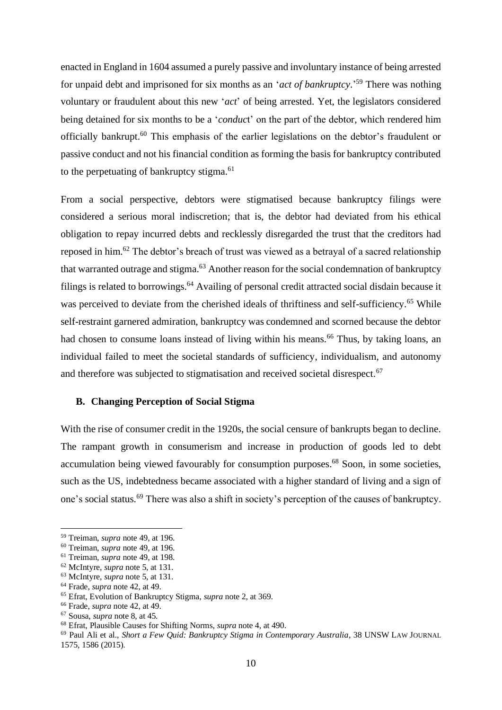enacted in England in 1604 assumed a purely passive and involuntary instance of being arrested for unpaid debt and imprisoned for six months as an '*act of bankruptcy*.' <sup>59</sup> There was nothing voluntary or fraudulent about this new '*act*' of being arrested. Yet, the legislators considered being detained for six months to be a '*conduc*t' on the part of the debtor, which rendered him officially bankrupt.<sup>60</sup> This emphasis of the earlier legislations on the debtor's fraudulent or passive conduct and not his financial condition as forming the basis for bankruptcy contributed to the perpetuating of bankruptcy stigma.<sup>61</sup>

From a social perspective, debtors were stigmatised because bankruptcy filings were considered a serious moral indiscretion; that is, the debtor had deviated from his ethical obligation to repay incurred debts and recklessly disregarded the trust that the creditors had reposed in him.<sup>62</sup> The debtor's breach of trust was viewed as a betrayal of a sacred relationship that warranted outrage and stigma. $63$  Another reason for the social condemnation of bankruptcy filings is related to borrowings.<sup>64</sup> Availing of personal credit attracted social disdain because it was perceived to deviate from the cherished ideals of thriftiness and self-sufficiency.<sup>65</sup> While self-restraint garnered admiration, bankruptcy was condemned and scorned because the debtor had chosen to consume loans instead of living within his means.<sup>66</sup> Thus, by taking loans, an individual failed to meet the societal standards of sufficiency, individualism, and autonomy and therefore was subjected to stigmatisation and received societal disrespect. 67

#### <span id="page-11-0"></span>**B. Changing Perception of Social Stigma**

With the rise of consumer credit in the 1920s, the social censure of bankrupts began to decline. The rampant growth in consumerism and increase in production of goods led to debt accumulation being viewed favourably for consumption purposes.<sup>68</sup> Soon, in some societies, such as the US, indebtedness became associated with a higher standard of living and a sign of one's social status.<sup>69</sup> There was also a shift in society's perception of the causes of bankruptcy.

<sup>66</sup> Frade, *supra* note 42, at 49.

<sup>59</sup> Treiman, *supra* note 49, at 196.

<sup>60</sup> Treiman, *supra* note 49, at 196.

<sup>61</sup> Treiman, *supra* note 49, at 198.

<sup>62</sup> McIntyre, *supra* note 5, at 131.

<sup>63</sup> McIntyre, *supra* note 5, at 131.

<sup>64</sup> Frade, *supra* note 42, at 49.

<sup>65</sup> Efrat, Evolution of Bankruptcy Stigma, *supra* note 2, at 369.

<sup>67</sup> Sousa, *supra* note 8, at 45.

<sup>68</sup> Efrat, Plausible Causes for Shifting Norms, *supra* note 4, at 490.

<sup>69</sup> Paul Ali et al., *Short a Few Quid: Bankruptcy Stigma in Contemporary Australia*, 38 UNSW LAW JOURNAL 1575, 1586 (2015).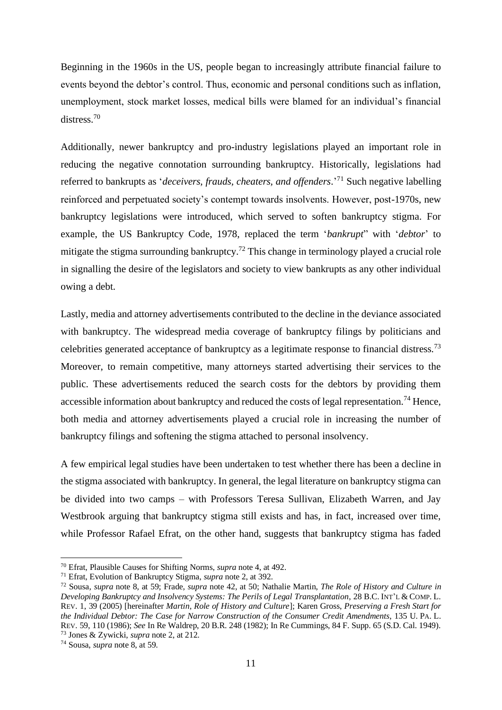Beginning in the 1960s in the US, people began to increasingly attribute financial failure to events beyond the debtor's control. Thus, economic and personal conditions such as inflation, unemployment, stock market losses, medical bills were blamed for an individual's financial distress. 70

Additionally, newer bankruptcy and pro-industry legislations played an important role in reducing the negative connotation surrounding bankruptcy. Historically, legislations had referred to bankrupts as '*deceivers, frauds, cheaters, and offenders*.' <sup>71</sup> Such negative labelling reinforced and perpetuated society's contempt towards insolvents. However, post-1970s, new bankruptcy legislations were introduced, which served to soften bankruptcy stigma. For example, the US Bankruptcy Code, 1978, replaced the term '*bankrupt*" with '*debtor*' to mitigate the stigma surrounding bankruptcy.<sup>72</sup> This change in terminology played a crucial role in signalling the desire of the legislators and society to view bankrupts as any other individual owing a debt.

Lastly, media and attorney advertisements contributed to the decline in the deviance associated with bankruptcy. The widespread media coverage of bankruptcy filings by politicians and celebrities generated acceptance of bankruptcy as a legitimate response to financial distress.<sup>73</sup> Moreover, to remain competitive, many attorneys started advertising their services to the public. These advertisements reduced the search costs for the debtors by providing them accessible information about bankruptcy and reduced the costs of legal representation.<sup>74</sup> Hence, both media and attorney advertisements played a crucial role in increasing the number of bankruptcy filings and softening the stigma attached to personal insolvency.

A few empirical legal studies have been undertaken to test whether there has been a decline in the stigma associated with bankruptcy. In general, the legal literature on bankruptcy stigma can be divided into two camps – with Professors Teresa Sullivan, Elizabeth Warren, and Jay Westbrook arguing that bankruptcy stigma still exists and has, in fact, increased over time, while Professor Rafael Efrat, on the other hand, suggests that bankruptcy stigma has faded

<sup>70</sup> Efrat, Plausible Causes for Shifting Norms, *supra* note 4, at 492.

<sup>71</sup> Efrat, Evolution of Bankruptcy Stigma, *supra* note 2, at 392.

<sup>72</sup> Sousa, *supra* note 8, at 59; Frade, *supra* note 42, at 50; Nathalie Martin, *The Role of History and Culture in Developing Bankruptcy and Insolvency Systems: The Perils of Legal Transplantation*, 28 B.C. INT'L & COMP. L. REV. 1, 39 (2005) [hereinafter *Martin, Role of History and Culture*]; Karen Gross, *Preserving a Fresh Start for the Individual Debtor: The Case for Narrow Construction of the Consumer Credit Amendments*, 135 U. PA. L. REV. 59, 110 (1986); *See* In Re Waldrep, 20 B.R. 248 (1982); In Re Cummings, 84 F. Supp. 65 (S.D. Cal. 1949). <sup>73</sup> Jones & Zywicki, *supra* note 2, at 212.

<sup>74</sup> Sousa, *supra* note 8, at 59.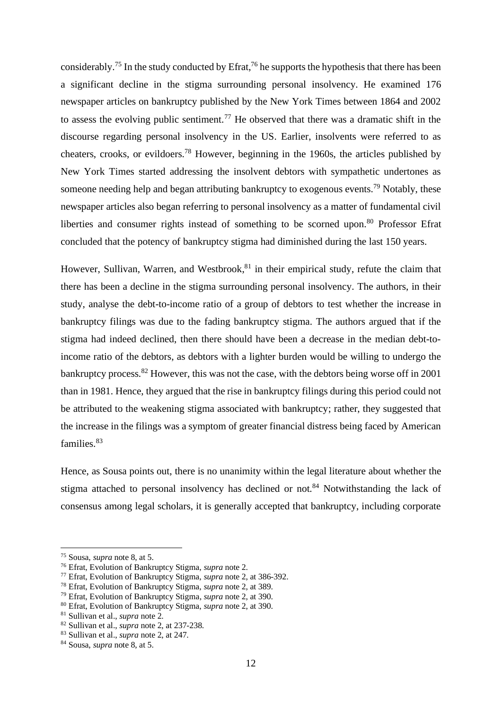considerably.<sup>75</sup> In the study conducted by Efrat,<sup>76</sup> he supports the hypothesis that there has been a significant decline in the stigma surrounding personal insolvency. He examined 176 newspaper articles on bankruptcy published by the New York Times between 1864 and 2002 to assess the evolving public sentiment.<sup>77</sup> He observed that there was a dramatic shift in the discourse regarding personal insolvency in the US. Earlier, insolvents were referred to as cheaters, crooks, or evildoers.<sup>78</sup> However, beginning in the 1960s, the articles published by New York Times started addressing the insolvent debtors with sympathetic undertones as someone needing help and began attributing bankruptcy to exogenous events.<sup>79</sup> Notably, these newspaper articles also began referring to personal insolvency as a matter of fundamental civil liberties and consumer rights instead of something to be scorned upon.<sup>80</sup> Professor Efrat concluded that the potency of bankruptcy stigma had diminished during the last 150 years.

However, Sullivan, Warren, and Westbrook, <sup>81</sup> in their empirical study, refute the claim that there has been a decline in the stigma surrounding personal insolvency. The authors, in their study, analyse the debt-to-income ratio of a group of debtors to test whether the increase in bankruptcy filings was due to the fading bankruptcy stigma. The authors argued that if the stigma had indeed declined, then there should have been a decrease in the median debt-toincome ratio of the debtors, as debtors with a lighter burden would be willing to undergo the bankruptcy process.  $82$  However, this was not the case, with the debtors being worse off in 2001 than in 1981. Hence, they argued that the rise in bankruptcy filings during this period could not be attributed to the weakening stigma associated with bankruptcy; rather, they suggested that the increase in the filings was a symptom of greater financial distress being faced by American families.<sup>83</sup>

Hence, as Sousa points out, there is no unanimity within the legal literature about whether the stigma attached to personal insolvency has declined or not.<sup>84</sup> Notwithstanding the lack of consensus among legal scholars, it is generally accepted that bankruptcy, including corporate

<sup>75</sup> Sousa, *supra* note 8, at 5.

<sup>76</sup> Efrat, Evolution of Bankruptcy Stigma, *supra* note 2.

<sup>77</sup> Efrat, Evolution of Bankruptcy Stigma, *supra* note 2, at 386-392.

<sup>78</sup> Efrat, Evolution of Bankruptcy Stigma, *supra* note 2, at 389.

<sup>79</sup> Efrat, Evolution of Bankruptcy Stigma, *supra* note 2, at 390.

<sup>80</sup> Efrat, Evolution of Bankruptcy Stigma, *supra* note 2, at 390.

<sup>81</sup> Sullivan et al., *supra* note 2.

<sup>82</sup> Sullivan et al., *supra* note 2, at 237-238.

<sup>83</sup> Sullivan et al., *supra* note 2, at 247.

<sup>84</sup> Sousa, *supra* note 8, at 5.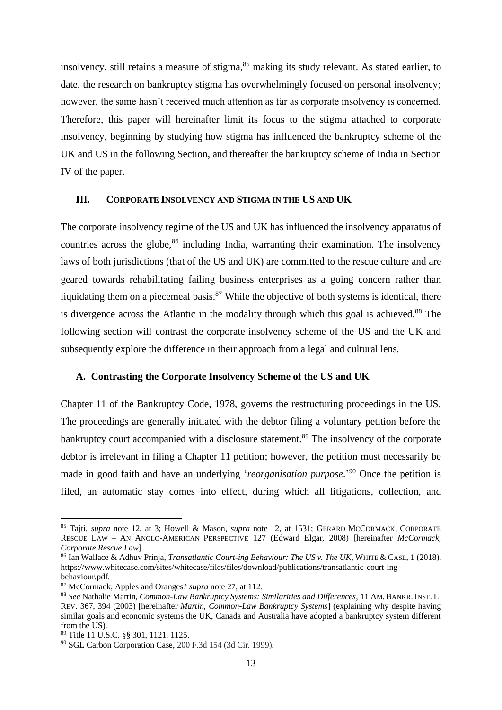insolvency, still retains a measure of stigma,<sup>85</sup> making its study relevant. As stated earlier, to date, the research on bankruptcy stigma has overwhelmingly focused on personal insolvency; however, the same hasn't received much attention as far as corporate insolvency is concerned. Therefore, this paper will hereinafter limit its focus to the stigma attached to corporate insolvency, beginning by studying how stigma has influenced the bankruptcy scheme of the UK and US in the following Section, and thereafter the bankruptcy scheme of India in Section IV of the paper.

#### <span id="page-14-0"></span>**III. CORPORATE INSOLVENCY AND STIGMA IN THE US AND UK**

The corporate insolvency regime of the US and UK has influenced the insolvency apparatus of countries across the globe,<sup>86</sup> including India, warranting their examination. The insolvency laws of both jurisdictions (that of the US and UK) are committed to the rescue culture and are geared towards rehabilitating failing business enterprises as a going concern rather than liquidating them on a piecemeal basis. $87$  While the objective of both systems is identical, there is divergence across the Atlantic in the modality through which this goal is achieved.<sup>88</sup> The following section will contrast the corporate insolvency scheme of the US and the UK and subsequently explore the difference in their approach from a legal and cultural lens.

#### <span id="page-14-1"></span>**A. Contrasting the Corporate Insolvency Scheme of the US and UK**

Chapter 11 of the Bankruptcy Code, 1978, governs the restructuring proceedings in the US. The proceedings are generally initiated with the debtor filing a voluntary petition before the bankruptcy court accompanied with a disclosure statement.<sup>89</sup> The insolvency of the corporate debtor is irrelevant in filing a Chapter 11 petition; however, the petition must necessarily be made in good faith and have an underlying '*reorganisation purpose*.' <sup>90</sup> Once the petition is filed, an automatic stay comes into effect, during which all litigations, collection, and

<sup>85</sup> Tajti, *supra* note 12, at 3; Howell & Mason, *supra* note 12, at 1531; GERARD MCCORMACK, CORPORATE RESCUE LAW – AN ANGLO-AMERICAN PERSPECTIVE 127 (Edward Elgar, 2008) [hereinafter *McCormack, Corporate Rescue Law*].

<sup>86</sup> Ian Wallace & Adhuv Prinja, *Transatlantic Court-ing Behaviour: The US v. The UK*, WHITE & CASE, 1 (2018), https://www.whitecase.com/sites/whitecase/files/files/download/publications/transatlantic-court-ingbehaviour.pdf.

<sup>87</sup> McCormack, Apples and Oranges? *supra* note 27, at 112.

<sup>88</sup> *See* Nathalie Martin, *Common-Law Bankruptcy Systems: Similarities and Differences*, 11 AM. BANKR. INST. L. REV. 367, 394 (2003) [hereinafter *Martin, Common-Law Bankruptcy Systems*] (explaining why despite having similar goals and economic systems the UK, Canada and Australia have adopted a bankruptcy system different from the US).

<sup>89</sup> Title 11 U.S.C. §§ 301, 1121, 1125.

<sup>90</sup> SGL Carbon Corporation Case, 200 F.3d 154 (3d Cir. 1999).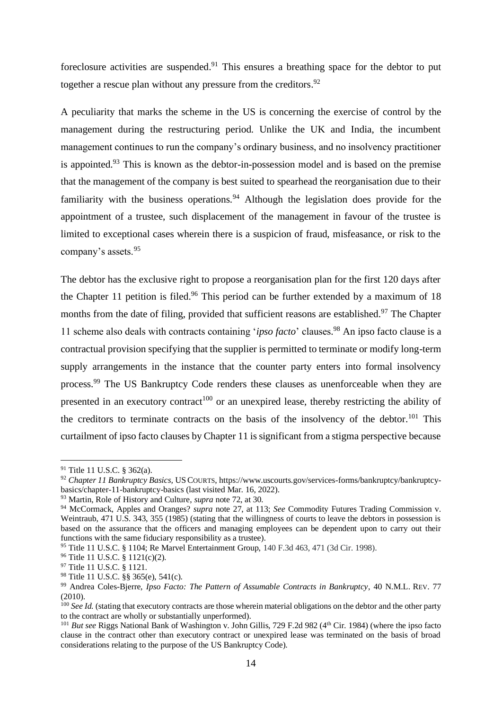foreclosure activities are suspended.<sup>91</sup> This ensures a breathing space for the debtor to put together a rescue plan without any pressure from the creditors.<sup>92</sup>

A peculiarity that marks the scheme in the US is concerning the exercise of control by the management during the restructuring period. Unlike the UK and India, the incumbent management continues to run the company's ordinary business, and no insolvency practitioner is appointed.<sup>93</sup> This is known as the debtor-in-possession model and is based on the premise that the management of the company is best suited to spearhead the reorganisation due to their familiarity with the business operations.  $94$  Although the legislation does provide for the appointment of a trustee, such displacement of the management in favour of the trustee is limited to exceptional cases wherein there is a suspicion of fraud, misfeasance, or risk to the company's assets.<sup>95</sup>

The debtor has the exclusive right to propose a reorganisation plan for the first 120 days after the Chapter 11 petition is filed.<sup>96</sup> This period can be further extended by a maximum of 18 months from the date of filing, provided that sufficient reasons are established.<sup>97</sup> The Chapter 11 scheme also deals with contracts containing '*ipso facto*' clauses. <sup>98</sup> An ipso facto clause is a contractual provision specifying that the supplier is permitted to terminate or modify long-term supply arrangements in the instance that the counter party enters into formal insolvency process.<sup>99</sup> The US Bankruptcy Code renders these clauses as unenforceable when they are presented in an executory contract<sup>100</sup> or an unexpired lease, thereby restricting the ability of the creditors to terminate contracts on the basis of the insolvency of the debtor.<sup>101</sup> This curtailment of ipso facto clauses by Chapter 11 is significant from a stigma perspective because

<sup>91</sup> Title 11 U.S.C. § 362(a).

<sup>92</sup> *Chapter 11 Bankruptcy Basics,* USCOURTS, https://www.uscourts.gov/services-forms/bankruptcy/bankruptcybasics/chapter-11-bankruptcy-basics (last visited Mar. 16, 2022).

<sup>93</sup> Martin, Role of History and Culture, *supra* note 72, at 30.

<sup>94</sup> McCormack, Apples and Oranges? *supra* note 27, at 113; *See* Commodity Futures Trading Commission v. Weintraub, 471 U.S. 343, 355 (1985) (stating that the willingness of courts to leave the debtors in possession is based on the assurance that the officers and managing employees can be dependent upon to carry out their functions with the same fiduciary responsibility as a trustee).

<sup>95</sup> Title 11 U.S.C. § 1104; Re Marvel Entertainment Group, 140 F.3d 463, 471 (3d Cir. 1998).

<sup>96</sup> Title 11 U.S.C. § 1121(c)(2).

<sup>97</sup> Title 11 U.S.C. § 1121.

<sup>98</sup> Title 11 U.S.C. §§ 365(e), 541(c).

<sup>99</sup> Andrea Coles-Bjerre, *Ipso Facto: The Pattern of Assumable Contracts in Bankruptcy*, 40 N.M.L. REV. 77 (2010).

<sup>&</sup>lt;sup>100</sup> See Id. (stating that executory contracts are those wherein material obligations on the debtor and the other party to the contract are wholly or substantially unperformed).

<sup>&</sup>lt;sup>101</sup> *But see* Riggs National Bank of Washington v. John Gillis, 729 F.2d 982 (4<sup>th</sup> Cir. 1984) (where the ipso facto clause in the contract other than executory contract or unexpired lease was terminated on the basis of broad considerations relating to the purpose of the US Bankruptcy Code).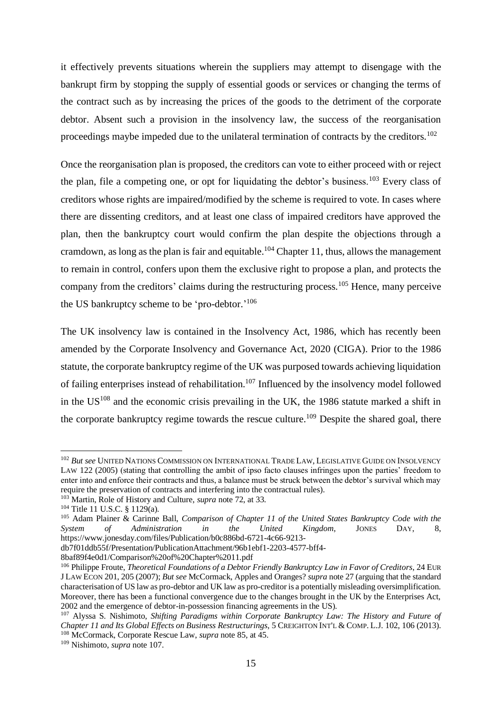it effectively prevents situations wherein the suppliers may attempt to disengage with the bankrupt firm by stopping the supply of essential goods or services or changing the terms of the contract such as by increasing the prices of the goods to the detriment of the corporate debtor. Absent such a provision in the insolvency law, the success of the reorganisation proceedings maybe impeded due to the unilateral termination of contracts by the creditors.<sup>102</sup>

Once the reorganisation plan is proposed, the creditors can vote to either proceed with or reject the plan, file a competing one, or opt for liquidating the debtor's business.<sup>103</sup> Every class of creditors whose rights are impaired/modified by the scheme is required to vote. In cases where there are dissenting creditors, and at least one class of impaired creditors have approved the plan, then the bankruptcy court would confirm the plan despite the objections through a cramdown, as long as the plan is fair and equitable.<sup>104</sup> Chapter 11, thus, allows the management to remain in control, confers upon them the exclusive right to propose a plan, and protects the company from the creditors' claims during the restructuring process.<sup>105</sup> Hence, many perceive the US bankruptcy scheme to be 'pro-debtor.'<sup>106</sup>

The UK insolvency law is contained in the Insolvency Act, 1986, which has recently been amended by the Corporate Insolvency and Governance Act, 2020 (CIGA). Prior to the 1986 statute, the corporate bankruptcy regime of the UK was purposed towards achieving liquidation of failing enterprises instead of rehabilitation.<sup>107</sup> Influenced by the insolvency model followed in the US<sup>108</sup> and the economic crisis prevailing in the UK, the 1986 statute marked a shift in the corporate bankruptcy regime towards the rescue culture.<sup>109</sup> Despite the shared goal, there

<sup>102</sup> *But see* UNITED NATIONS COMMISSION ON INTERNATIONAL TRADE LAW, LEGISLATIVE GUIDE ON INSOLVENCY LAW 122 (2005) (stating that controlling the ambit of ipso facto clauses infringes upon the parties' freedom to enter into and enforce their contracts and thus, a balance must be struck between the debtor's survival which may require the preservation of contracts and interfering into the contractual rules).

<sup>103</sup> Martin, Role of History and Culture, *supra* note 72, at 33.

<sup>104</sup> Title 11 U.S.C. § 1129(a).

<sup>105</sup> Adam Plainer & Carinne Ball, *Comparison of Chapter 11 of the United States Bankruptcy Code with the System of Administration in the United Kingdom*, JONES DAY, 8, https://www.jonesday.com/files/Publication/b0c886bd-6721-4c66-9213-

db7f01ddb55f/Presentation/PublicationAttachment/96b1ebf1-2203-4577-bff4-

<sup>8</sup>baf89f4e0d1/Comparison%20of%20Chapter%2011.pdf

<sup>&</sup>lt;sup>106</sup> Philippe Froute, *Theoretical Foundations of a Debtor Friendly Bankruptcy Law in Favor of Creditors*, 24 EUR J LAW ECON 201, 205 (2007); *But see* McCormack, Apples and Oranges? *supra* note 27 (arguing that the standard characterisation of US law as pro-debtor and UK law as pro-creditor is a potentially misleading oversimplification. Moreover, there has been a functional convergence due to the changes brought in the UK by the Enterprises Act, 2002 and the emergence of debtor-in-possession financing agreements in the US).

<sup>107</sup> Alyssa S. Nishimoto, *Shifting Paradigms within Corporate Bankruptcy Law: The History and Future of Chapter 11 and Its Global Effects on Business Restructurings*, 5 CREIGHTON INT'L & COMP. L.J. 102, 106 (2013). <sup>108</sup> McCormack, Corporate Rescue Law, *supra* note 85, at 45.

<sup>109</sup> Nishimoto, *supra* note 107.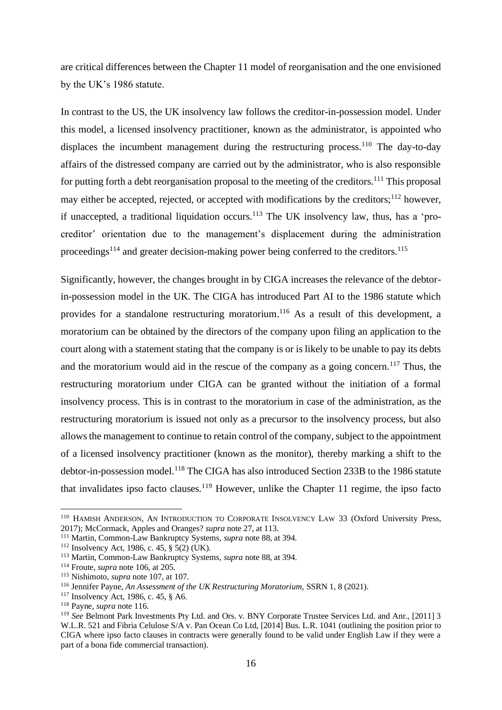are critical differences between the Chapter 11 model of reorganisation and the one envisioned by the UK's 1986 statute.

In contrast to the US, the UK insolvency law follows the creditor-in-possession model. Under this model, a licensed insolvency practitioner, known as the administrator, is appointed who displaces the incumbent management during the restructuring process.<sup>110</sup> The day-to-day affairs of the distressed company are carried out by the administrator, who is also responsible for putting forth a debt reorganisation proposal to the meeting of the creditors.<sup>111</sup> This proposal may either be accepted, rejected, or accepted with modifications by the creditors;<sup>112</sup> however, if unaccepted, a traditional liquidation occurs.<sup>113</sup> The UK insolvency law, thus, has a 'procreditor' orientation due to the management's displacement during the administration proceedings<sup>114</sup> and greater decision-making power being conferred to the creditors.<sup>115</sup>

Significantly, however, the changes brought in by CIGA increases the relevance of the debtorin-possession model in the UK. The CIGA has introduced Part AI to the 1986 statute which provides for a standalone restructuring moratorium.<sup>116</sup> As a result of this development, a moratorium can be obtained by the directors of the company upon filing an application to the court along with a statement stating that the company is or is likely to be unable to pay its debts and the moratorium would aid in the rescue of the company as a going concern.<sup>117</sup> Thus, the restructuring moratorium under CIGA can be granted without the initiation of a formal insolvency process. This is in contrast to the moratorium in case of the administration, as the restructuring moratorium is issued not only as a precursor to the insolvency process, but also allows the management to continue to retain control of the company, subject to the appointment of a licensed insolvency practitioner (known as the monitor), thereby marking a shift to the debtor-in-possession model.<sup>118</sup> The CIGA has also introduced Section 233B to the 1986 statute that invalidates ipso facto clauses.<sup>119</sup> However, unlike the Chapter 11 regime, the ipso facto

<sup>&</sup>lt;sup>110</sup> HAMISH ANDERSON, AN INTRODUCTION TO CORPORATE INSOLVENCY LAW 33 (Oxford University Press, 2017); McCormack, Apples and Oranges? *supra* note 27, at 113.

<sup>111</sup> Martin, Common-Law Bankruptcy Systems, *supra* note 88, at 394.

 $112$  Insolvency Act, 1986, c. 45, § 5(2) (UK).

<sup>113</sup> Martin, Common-Law Bankruptcy Systems*, supra* note 88, at 394.

<sup>114</sup> Froute, *supra* note 106, at 205.

<sup>115</sup> Nishimoto, *supra* note 107, at 107.

<sup>116</sup> Jennifer Payne, *An Assessment of the UK Restructuring Moratorium*, SSRN 1, 8 (2021).

<sup>117</sup> Insolvency Act, 1986, c. 45, § A6.

<sup>118</sup> Payne, *supra* note 116.

<sup>119</sup> *See* Belmont Park Investments Pty Ltd. and Ors. v. BNY Corporate Trustee Services Ltd. and Anr., [2011] 3 W.L.R. 521 and Fibria Celulose S/A v. Pan Ocean Co Ltd, [2014] Bus. L.R. 1041 (outlining the position prior to CIGA where ipso facto clauses in contracts were generally found to be valid under English Law if they were a part of a bona fide commercial transaction).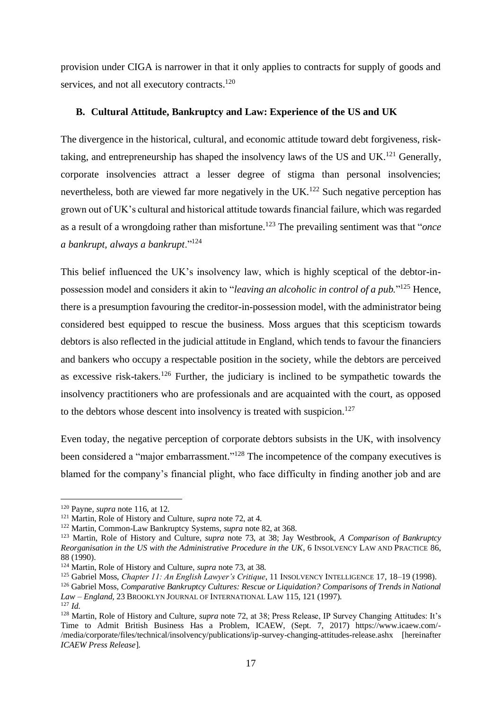provision under CIGA is narrower in that it only applies to contracts for supply of goods and services, and not all executory contracts.<sup>120</sup>

#### <span id="page-18-0"></span>**B. Cultural Attitude, Bankruptcy and Law: Experience of the US and UK**

The divergence in the historical, cultural, and economic attitude toward debt forgiveness, risktaking, and entrepreneurship has shaped the insolvency laws of the US and UK.<sup>121</sup> Generally, corporate insolvencies attract a lesser degree of stigma than personal insolvencies; nevertheless, both are viewed far more negatively in the UK.<sup>122</sup> Such negative perception has grown out of UK's cultural and historical attitude towards financial failure, which was regarded as a result of a wrongdoing rather than misfortune.<sup>123</sup> The prevailing sentiment was that "*once a bankrupt, always a bankrupt*."<sup>124</sup>

This belief influenced the UK's insolvency law, which is highly sceptical of the debtor-inpossession model and considers it akin to "*leaving an alcoholic in control of a pub.*" <sup>125</sup> Hence, there is a presumption favouring the creditor-in-possession model, with the administrator being considered best equipped to rescue the business. Moss argues that this scepticism towards debtors is also reflected in the judicial attitude in England, which tends to favour the financiers and bankers who occupy a respectable position in the society, while the debtors are perceived as excessive risk-takers.<sup>126</sup> Further, the judiciary is inclined to be sympathetic towards the insolvency practitioners who are professionals and are acquainted with the court, as opposed to the debtors whose descent into insolvency is treated with suspicion.<sup>127</sup>

Even today, the negative perception of corporate debtors subsists in the UK, with insolvency been considered a "major embarrassment."<sup>128</sup> The incompetence of the company executives is blamed for the company's financial plight, who face difficulty in finding another job and are

<sup>120</sup> Payne, *supra* note 116, at 12.

<sup>121</sup> Martin, Role of History and Culture, *supra* note 72, at 4.

<sup>122</sup> Martin, Common-Law Bankruptcy Systems*, supra* note 82, at 368.

<sup>123</sup> Martin, Role of History and Culture, *supra* note 73, at 38; Jay Westbrook, *A Comparison of Bankruptcy Reorganisation in the US with the Administrative Procedure in the UK*, 6 INSOLVENCY LAW AND PRACTICE 86, 88 (1990).

<sup>124</sup> Martin, Role of History and Culture, *supra* note 73, at 38.

<sup>125</sup> Gabriel Moss, *Chapter 11: An English Lawyer's Critique*, 11 INSOLVENCY INTELLIGENCE 17, 18–19 (1998).

<sup>126</sup> Gabriel Moss, *Comparative Bankruptcy Cultures: Rescue or Liquidation? Comparisons of Trends in National Law – England*, 23 BROOKLYN JOURNAL OF INTERNATIONAL LAW 115, 121 (1997).

<sup>127</sup> *Id.*

<sup>128</sup> Martin, Role of History and Culture, *supra* note 72, at 38; Press Release, IP Survey Changing Attitudes: It's Time to Admit British Business Has a Problem, ICAEW, (Sept. 7, 2017) https://www.icaew.com/- /media/corporate/files/technical/insolvency/publications/ip-survey-changing-attitudes-release.ashx [hereinafter *ICAEW Press Release*].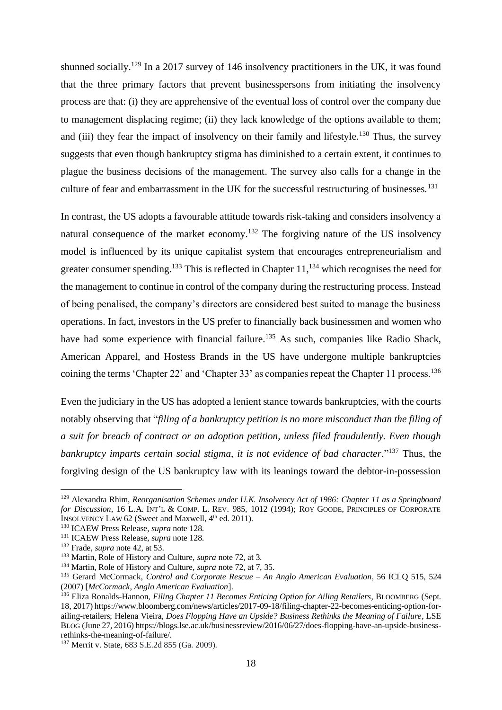shunned socially.<sup>129</sup> In a 2017 survey of 146 insolvency practitioners in the UK, it was found that the three primary factors that prevent businesspersons from initiating the insolvency process are that: (i) they are apprehensive of the eventual loss of control over the company due to management displacing regime; (ii) they lack knowledge of the options available to them; and (iii) they fear the impact of insolvency on their family and lifestyle.<sup>130</sup> Thus, the survey suggests that even though bankruptcy stigma has diminished to a certain extent, it continues to plague the business decisions of the management. The survey also calls for a change in the culture of fear and embarrassment in the UK for the successful restructuring of businesses.<sup>131</sup>

In contrast, the US adopts a favourable attitude towards risk-taking and considers insolvency a natural consequence of the market economy.<sup>132</sup> The forgiving nature of the US insolvency model is influenced by its unique capitalist system that encourages entrepreneurialism and greater consumer spending.<sup>133</sup> This is reflected in Chapter  $11$ ,  $^{134}$  which recognises the need for the management to continue in control of the company during the restructuring process. Instead of being penalised, the company's directors are considered best suited to manage the business operations. In fact, investors in the US prefer to financially back businessmen and women who have had some experience with financial failure.<sup>135</sup> As such, companies like Radio Shack, American Apparel, and Hostess Brands in the US have undergone multiple bankruptcies coining the terms 'Chapter 22' and 'Chapter 33' as companies repeat the Chapter 11 process.<sup>136</sup>

Even the judiciary in the US has adopted a lenient stance towards bankruptcies, with the courts notably observing that "*filing of a bankruptcy petition is no more misconduct than the filing of a suit for breach of contract or an adoption petition, unless filed fraudulently. Even though*  bankruptcy imparts certain social stigma, it is not evidence of bad character."<sup>137</sup> Thus, the forgiving design of the US bankruptcy law with its leanings toward the debtor-in-possession

<sup>129</sup> Alexandra Rhim, *Reorganisation Schemes under U.K. Insolvency Act of 1986: Chapter 11 as a Springboard for Discussion*, 16 L.A. INT'L & COMP. L. REV. 985, 1012 (1994); ROY GOODE, PRINCIPLES OF CORPORATE INSOLVENCY LAW 62 (Sweet and Maxwell,  $4<sup>th</sup>$  ed. 2011).

<sup>130</sup> ICAEW Press Release, *supra* note 128.

<sup>131</sup> ICAEW Press Release, *supra* note 128.

<sup>132</sup> Frade, *supra* note 42, at 53.

<sup>133</sup> Martin, Role of History and Culture, *supra* note 72, at 3.

<sup>134</sup> Martin, Role of History and Culture, *supra* note 72, at 7, 35.

<sup>135</sup> Gerard McCormack, *Control and Corporate Rescue – An Anglo American Evaluation*, 56 ICLQ 515, 524 (2007) [*McCormack, Anglo American Evaluation*].

<sup>&</sup>lt;sup>136</sup> Eliza Ronalds-Hannon, *Filing Chapter 11 Becomes Enticing Option for Ailing Retailers*, BLOOMBERG (Sept. 18, 2017) https://www.bloomberg.com/news/articles/2017-09-18/filing-chapter-22-becomes-enticing-option-forailing-retailers; Helena Vieira, *Does Flopping Have an Upside? Business Rethinks the Meaning of Failure*, LSE BLOG (June 27, 2016) https://blogs.lse.ac.uk/businessreview/2016/06/27/does-flopping-have-an-upside-businessrethinks-the-meaning-of-failure/.

<sup>137</sup> Merrit v. State, 683 S.E.2d 855 (Ga. 2009).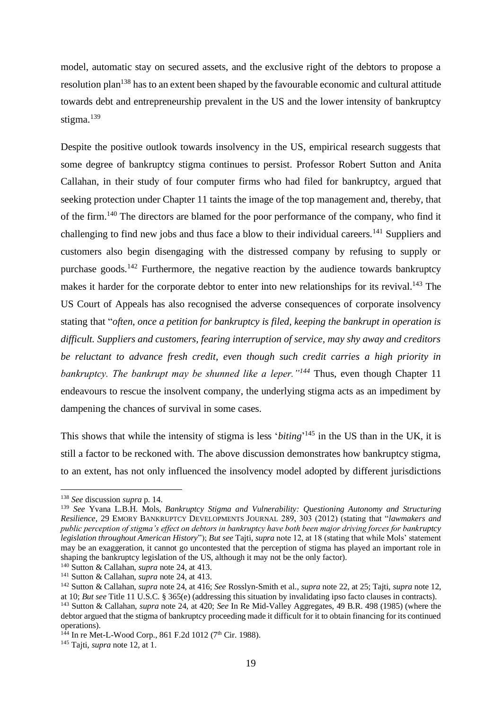model, automatic stay on secured assets, and the exclusive right of the debtors to propose a resolution plan<sup>138</sup> has to an extent been shaped by the favourable economic and cultural attitude towards debt and entrepreneurship prevalent in the US and the lower intensity of bankruptcy stigma.<sup>139</sup>

Despite the positive outlook towards insolvency in the US, empirical research suggests that some degree of bankruptcy stigma continues to persist. Professor Robert Sutton and Anita Callahan, in their study of four computer firms who had filed for bankruptcy, argued that seeking protection under Chapter 11 taints the image of the top management and, thereby, that of the firm.<sup>140</sup> The directors are blamed for the poor performance of the company, who find it challenging to find new jobs and thus face a blow to their individual careers.<sup>141</sup> Suppliers and customers also begin disengaging with the distressed company by refusing to supply or purchase goods.<sup>142</sup> Furthermore, the negative reaction by the audience towards bankruptcy makes it harder for the corporate debtor to enter into new relationships for its revival.<sup>143</sup> The US Court of Appeals has also recognised the adverse consequences of corporate insolvency stating that "*often, once a petition for bankruptcy is filed, keeping the bankrupt in operation is difficult. Suppliers and customers, fearing interruption of service, may shy away and creditors be reluctant to advance fresh credit, even though such credit carries a high priority in bankruptcy. The bankrupt may be shunned like a leper.*<sup>*n144*</sup> Thus, even though Chapter 11 endeavours to rescue the insolvent company, the underlying stigma acts as an impediment by dampening the chances of survival in some cases.

This shows that while the intensity of stigma is less '*biting*' <sup>145</sup> in the US than in the UK, it is still a factor to be reckoned with. The above discussion demonstrates how bankruptcy stigma, to an extent, has not only influenced the insolvency model adopted by different jurisdictions

<sup>138</sup> *See* discussion *supra* p. 14.

<sup>139</sup> *See* Yvana L.B.H. Mols, *Bankruptcy Stigma and Vulnerability: Questioning Autonomy and Structuring Resilience,* 29 EMORY BANKRUPTCY DEVELOPMENTS JOURNAL 289, 303 (2012) (stating that "*lawmakers and public perception of stigma's effect on debtors in bankruptcy have both been major driving forces for bankruptcy legislation throughout American History*"); *But see* Tajti, *supra* note 12, at 18 (stating that while Mols' statement may be an exaggeration, it cannot go uncontested that the perception of stigma has played an important role in shaping the bankruptcy legislation of the US, although it may not be the only factor).

<sup>140</sup> Sutton & Callahan, *supra* note 24, at 413.

<sup>141</sup> Sutton & Callahan, *supra* note 24, at 413.

<sup>142</sup> Sutton & Callahan, *supra* note 24, at 416; *See* Rosslyn-Smith et al., *supra* note 22, at 25; Tajti, *supra* note 12, at 10; *But see* Title 11 U.S.C. § 365(e) (addressing this situation by invalidating ipso facto clauses in contracts).

<sup>143</sup> Sutton & Callahan, *supra* note 24, at 420; *See* In Re Mid-Valley Aggregates, 49 B.R. 498 (1985) (where the debtor argued that the stigma of bankruptcy proceeding made it difficult for it to obtain financing for its continued operations).

 $144$  In re Met-L-Wood Corp., 861 F.2d 1012 (7<sup>th</sup> Cir. 1988).

<sup>145</sup> Tajti, *supra* note 12, at 1.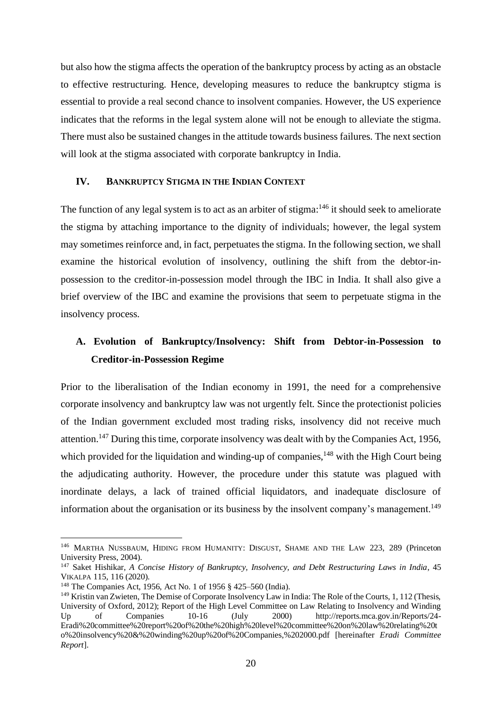but also how the stigma affects the operation of the bankruptcy process by acting as an obstacle to effective restructuring. Hence, developing measures to reduce the bankruptcy stigma is essential to provide a real second chance to insolvent companies. However, the US experience indicates that the reforms in the legal system alone will not be enough to alleviate the stigma. There must also be sustained changes in the attitude towards business failures. The next section will look at the stigma associated with corporate bankruptcy in India.

#### <span id="page-21-0"></span>**IV. BANKRUPTCY STIGMA IN THE INDIAN CONTEXT**

The function of any legal system is to act as an arbiter of stigma:<sup>146</sup> it should seek to ameliorate the stigma by attaching importance to the dignity of individuals; however, the legal system may sometimes reinforce and, in fact, perpetuates the stigma. In the following section, we shall examine the historical evolution of insolvency, outlining the shift from the debtor-inpossession to the creditor-in-possession model through the IBC in India. It shall also give a brief overview of the IBC and examine the provisions that seem to perpetuate stigma in the insolvency process.

## <span id="page-21-1"></span>**A. Evolution of Bankruptcy/Insolvency: Shift from Debtor-in-Possession to Creditor-in-Possession Regime**

Prior to the liberalisation of the Indian economy in 1991, the need for a comprehensive corporate insolvency and bankruptcy law was not urgently felt. Since the protectionist policies of the Indian government excluded most trading risks, insolvency did not receive much attention.<sup>147</sup> During this time, corporate insolvency was dealt with by the Companies Act, 1956, which provided for the liquidation and winding-up of companies,  $148$  with the High Court being the adjudicating authority. However, the procedure under this statute was plagued with inordinate delays, a lack of trained official liquidators, and inadequate disclosure of information about the organisation or its business by the insolvent company's management.<sup>149</sup>

<sup>&</sup>lt;sup>146</sup> MARTHA NUSSBAUM, HIDING FROM HUMANITY: DISGUST, SHAME AND THE LAW 223, 289 (Princeton University Press, 2004).

<sup>147</sup> Saket Hishikar, *A Concise History of Bankruptcy, Insolvency, and Debt Restructuring Laws in India*, 45 VIKALPA 115, 116 (2020).

<sup>148</sup> The Companies Act, 1956, Act No. 1 of 1956 § 425–560 (India).

<sup>149</sup> Kristin van Zwieten, The Demise of Corporate Insolvency Law in India: The Role of the Courts, 1, 112 (Thesis, University of Oxford, 2012); Report of the High Level Committee on Law Relating to Insolvency and Winding Up of Companies 10-16 (July 2000) http://reports.mca.gov.in/Reports/24-Eradi%20committee%20report%20of%20the%20high%20level%20committee%20on%20law%20relating%20t o%20insolvency%20&%20winding%20up%20of%20Companies,%202000.pdf [hereinafter *Eradi Committee Report*].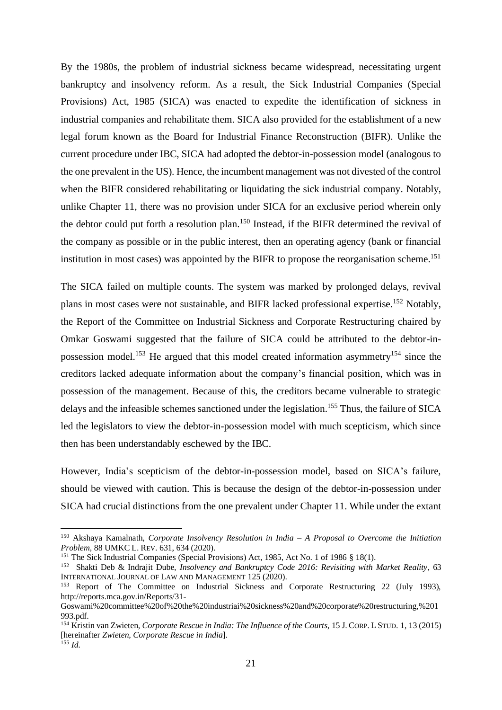By the 1980s, the problem of industrial sickness became widespread, necessitating urgent bankruptcy and insolvency reform. As a result, the Sick Industrial Companies (Special Provisions) Act, 1985 (SICA) was enacted to expedite the identification of sickness in industrial companies and rehabilitate them. SICA also provided for the establishment of a new legal forum known as the Board for Industrial Finance Reconstruction (BIFR). Unlike the current procedure under IBC, SICA had adopted the debtor-in-possession model (analogous to the one prevalent in the US). Hence, the incumbent management was not divested of the control when the BIFR considered rehabilitating or liquidating the sick industrial company. Notably, unlike Chapter 11, there was no provision under SICA for an exclusive period wherein only the debtor could put forth a resolution plan.<sup>150</sup> Instead, if the BIFR determined the revival of the company as possible or in the public interest, then an operating agency (bank or financial institution in most cases) was appointed by the BIFR to propose the reorganisation scheme.<sup>151</sup>

The SICA failed on multiple counts. The system was marked by prolonged delays, revival plans in most cases were not sustainable, and BIFR lacked professional expertise.<sup>152</sup> Notably, the Report of the Committee on Industrial Sickness and Corporate Restructuring chaired by Omkar Goswami suggested that the failure of SICA could be attributed to the debtor-inpossession model.<sup>153</sup> He argued that this model created information asymmetry<sup>154</sup> since the creditors lacked adequate information about the company's financial position, which was in possession of the management. Because of this, the creditors became vulnerable to strategic delays and the infeasible schemes sanctioned under the legislation.<sup>155</sup> Thus, the failure of SICA led the legislators to view the debtor-in-possession model with much scepticism, which since then has been understandably eschewed by the IBC.

However, India's scepticism of the debtor-in-possession model, based on SICA's failure, should be viewed with caution. This is because the design of the debtor-in-possession under SICA had crucial distinctions from the one prevalent under Chapter 11. While under the extant

<sup>150</sup> Akshaya Kamalnath, *Corporate Insolvency Resolution in India – A Proposal to Overcome the Initiation Problem,* 88 UMKC L. REV. 631, 634 (2020).

<sup>151</sup> The Sick Industrial Companies (Special Provisions) Act, 1985, Act No. 1 of 1986 § 18(1).

<sup>152</sup> Shakti Deb & Indrajit Dube, *Insolvency and Bankruptcy Code 2016: Revisiting with Market Reality*, 63 INTERNATIONAL JOURNAL OF LAW AND MANAGEMENT 125 (2020).

<sup>153</sup> Report of The Committee on Industrial Sickness and Corporate Restructuring 22 (July 1993), http://reports.mca.gov.in/Reports/31-

Goswami%20committee%20of%20the%20industriai%20sickness%20and%20corporate%20restructuring,%201 993.pdf.

<sup>154</sup> Kristin van Zwieten, *Corporate Rescue in India: The Influence of the Courts*, 15 J. CORP. L STUD. 1, 13 (2015) [hereinafter *Zwieten, Corporate Rescue in India*].  $^{155}$  *Id.*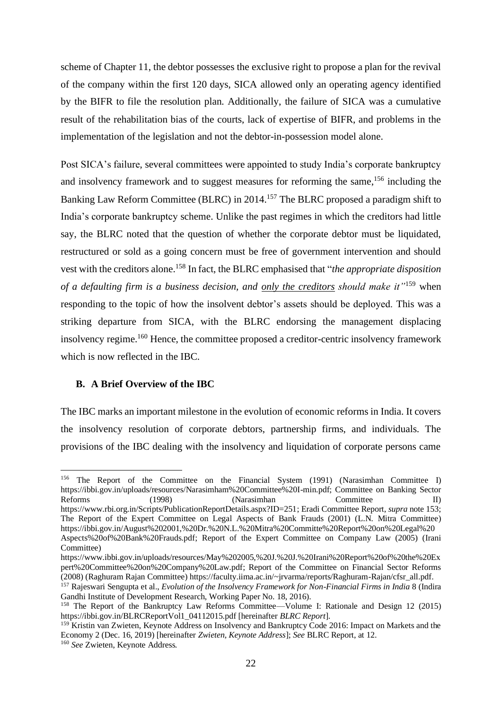scheme of Chapter 11, the debtor possesses the exclusive right to propose a plan for the revival of the company within the first 120 days, SICA allowed only an operating agency identified by the BIFR to file the resolution plan. Additionally, the failure of SICA was a cumulative result of the rehabilitation bias of the courts, lack of expertise of BIFR, and problems in the implementation of the legislation and not the debtor-in-possession model alone.

Post SICA's failure, several committees were appointed to study India's corporate bankruptcy and insolvency framework and to suggest measures for reforming the same,<sup>156</sup> including the Banking Law Reform Committee (BLRC) in 2014. <sup>157</sup> The BLRC proposed a paradigm shift to India's corporate bankruptcy scheme. Unlike the past regimes in which the creditors had little say, the BLRC noted that the question of whether the corporate debtor must be liquidated, restructured or sold as a going concern must be free of government intervention and should vest with the creditors alone.<sup>158</sup> In fact, the BLRC emphasised that "*the appropriate disposition of a defaulting firm is a business decision, and only the creditors should make it"*<sup>159</sup> when responding to the topic of how the insolvent debtor's assets should be deployed. This was a striking departure from SICA, with the BLRC endorsing the management displacing insolvency regime.<sup>160</sup> Hence, the committee proposed a creditor-centric insolvency framework which is now reflected in the IBC.

#### <span id="page-23-0"></span>**B. A Brief Overview of the IBC**

The IBC marks an important milestone in the evolution of economic reforms in India. It covers the insolvency resolution of corporate debtors, partnership firms, and individuals. The provisions of the IBC dealing with the insolvency and liquidation of corporate persons came

<sup>156</sup> The Report of the Committee on the Financial System (1991) (Narasimhan Committee I) https://ibbi.gov.in/uploads/resources/Narasimham%20Committee%20I-min.pdf; Committee on Banking Sector Reforms (1998) (Narasimhan Committee II)

https://www.rbi.org.in/Scripts/PublicationReportDetails.aspx?ID=251; Eradi Committee Report, *supra* note 153; The Report of the Expert Committee on Legal Aspects of Bank Frauds (2001) (L.N. Mitra Committee) https://ibbi.gov.in/August%202001,%20Dr.%20N.L.%20Mitra%20Committe%20Report%20on%20Legal%20 Aspects%20of%20Bank%20Frauds.pdf; Report of the Expert Committee on Company Law (2005) (Irani Committee)

https://www.ibbi.gov.in/uploads/resources/May%202005,%20J.%20J.%20Irani%20Report%20of%20the%20Ex pert%20Committee%20on%20Company%20Law.pdf; Report of the Committee on Financial Sector Reforms (2008) (Raghuram Rajan Committee) https://faculty.iima.ac.in/~jrvarma/reports/Raghuram-Rajan/cfsr\_all.pdf.

<sup>157</sup> Rajeswari Sengupta et al., *Evolution of the Insolvency Framework for Non-Financial Firms in India* 8 (Indira Gandhi Institute of Development Research, Working Paper No. 18, 2016).

<sup>158</sup> The Report of the Bankruptcy Law Reforms Committee—Volume I: Rationale and Design 12 (2015) https://ibbi.gov.in/BLRCReportVol1\_04112015.pdf [hereinafter *BLRC Report*].

<sup>&</sup>lt;sup>159</sup> Kristin van Zwieten, Keynote Address on Insolvency and Bankruptcy Code 2016: Impact on Markets and the Economy 2 (Dec. 16, 2019) [hereinafter *Zwieten, Keynote Address*]; *See* BLRC Report, at 12. <sup>160</sup> *See* Zwieten, Keynote Address*.*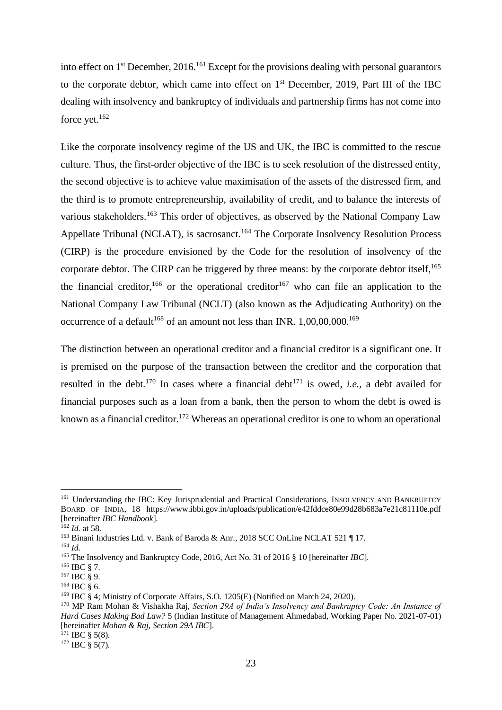into effect on  $1<sup>st</sup>$  December, 2016.<sup>161</sup> Except for the provisions dealing with personal guarantors to the corporate debtor, which came into effect on  $1<sup>st</sup>$  December, 2019, Part III of the IBC dealing with insolvency and bankruptcy of individuals and partnership firms has not come into force yet.<sup>162</sup>

Like the corporate insolvency regime of the US and UK, the IBC is committed to the rescue culture. Thus, the first-order objective of the IBC is to seek resolution of the distressed entity, the second objective is to achieve value maximisation of the assets of the distressed firm, and the third is to promote entrepreneurship, availability of credit, and to balance the interests of various stakeholders.<sup>163</sup> This order of objectives, as observed by the National Company Law Appellate Tribunal (NCLAT), is sacrosanct.<sup>164</sup> The Corporate Insolvency Resolution Process (CIRP) is the procedure envisioned by the Code for the resolution of insolvency of the corporate debtor. The CIRP can be triggered by three means: by the corporate debtor itself.<sup>165</sup> the financial creditor,<sup>166</sup> or the operational creditor<sup>167</sup> who can file an application to the National Company Law Tribunal (NCLT) (also known as the Adjudicating Authority) on the occurrence of a default<sup>168</sup> of an amount not less than INR.  $1,00,00,000$ .<sup>169</sup>

The distinction between an operational creditor and a financial creditor is a significant one. It is premised on the purpose of the transaction between the creditor and the corporation that resulted in the debt.<sup>170</sup> In cases where a financial debt<sup>171</sup> is owed, *i.e.*, a debt availed for financial purposes such as a loan from a bank, then the person to whom the debt is owed is known as a financial creditor.<sup>172</sup> Whereas an operational creditor is one to whom an operational

<sup>161</sup> Understanding the IBC: Key Jurisprudential and Practical Considerations, INSOLVENCY AND BANKRUPTCY BOARD OF INDIA, 18 https://www.ibbi.gov.in/uploads/publication/e42fddce80e99d28b683a7e21c81110e.pdf [hereinafter *IBC Handbook*].

<sup>162</sup> *Id.* at 58.

<sup>&</sup>lt;sup>163</sup> Binani Industries Ltd. v. Bank of Baroda & Anr., 2018 SCC OnLine NCLAT 521 ¶ 17.

<sup>164</sup> *Id.*

<sup>165</sup> The Insolvency and Bankruptcy Code, 2016, Act No. 31 of 2016 § 10 [hereinafter *IBC*].

 $^{166}$  IBC  $\S$  7.

 $167$  IBC  $\frac{8}{9}$  9.

 $168$  IBC  $\frac{8}{3}$  6.

<sup>&</sup>lt;sup>169</sup> IBC § 4: Ministry of Corporate Affairs, S.O. 1205(E) (Notified on March 24, 2020).

<sup>170</sup> MP Ram Mohan & Vishakha Raj, *Section 29A of India's Insolvency and Bankruptcy Code: An Instance of Hard Cases Making Bad Law?* 5 (Indian Institute of Management Ahmedabad, Working Paper No. 2021-07-01) [hereinafter *Mohan & Raj, Section 29A IBC*].

 $171$  IBC § 5(8).

 $172$  IBC  $\frac{172}{10}$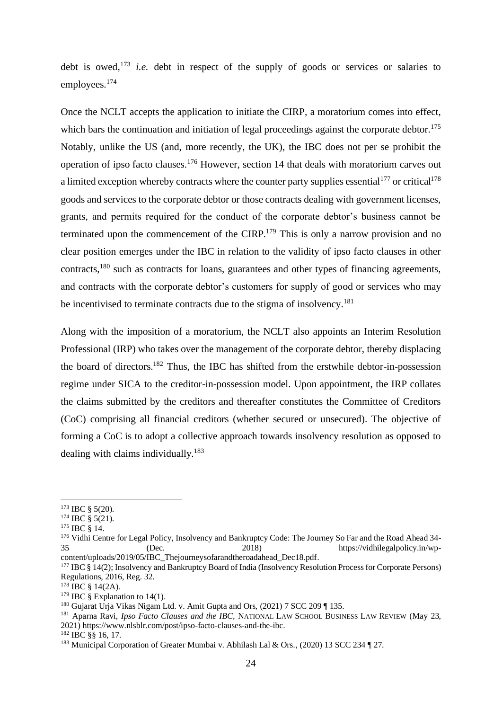debt is owed, <sup>173</sup> *i.e.* debt in respect of the supply of goods or services or salaries to employees.<sup>174</sup>

Once the NCLT accepts the application to initiate the CIRP, a moratorium comes into effect, which bars the continuation and initiation of legal proceedings against the corporate debtor.<sup>175</sup> Notably, unlike the US (and, more recently, the UK), the IBC does not per se prohibit the operation of ipso facto clauses.<sup>176</sup> However, section 14 that deals with moratorium carves out a limited exception whereby contracts where the counter party supplies essential<sup>177</sup> or critical<sup>178</sup> goods and services to the corporate debtor or those contracts dealing with government licenses, grants, and permits required for the conduct of the corporate debtor's business cannot be terminated upon the commencement of the CIRP.<sup>179</sup> This is only a narrow provision and no clear position emerges under the IBC in relation to the validity of ipso facto clauses in other contracts,<sup>180</sup> such as contracts for loans, guarantees and other types of financing agreements, and contracts with the corporate debtor's customers for supply of good or services who may be incentivised to terminate contracts due to the stigma of insolvency.<sup>181</sup>

Along with the imposition of a moratorium, the NCLT also appoints an Interim Resolution Professional (IRP) who takes over the management of the corporate debtor, thereby displacing the board of directors. <sup>182</sup> Thus, the IBC has shifted from the erstwhile debtor-in-possession regime under SICA to the creditor-in-possession model. Upon appointment, the IRP collates the claims submitted by the creditors and thereafter constitutes the Committee of Creditors (CoC) comprising all financial creditors (whether secured or unsecured). The objective of forming a CoC is to adopt a collective approach towards insolvency resolution as opposed to dealing with claims individually. $183$ 

 $173$  IBC § 5(20).

 $174$  IBC § 5(21).

<sup>175</sup> IBC § 14.

<sup>176</sup> Vidhi Centre for Legal Policy, Insolvency and Bankruptcy Code: The Journey So Far and the Road Ahead 34-35 (Dec. 2018) https://vidhilegalpolicy.in/wpcontent/uploads/2019/05/IBC\_Thejourneysofarandtheroadahead\_Dec18.pdf.

<sup>&</sup>lt;sup>177</sup> IBC § 14(2); Insolvency and Bankruptcy Board of India (Insolvency Resolution Process for Corporate Persons) Regulations, 2016, Reg. 32.

 $178$  IBC  $\frac{14(2A)}{2}$ .

<sup>&</sup>lt;sup>179</sup> IBC § Explanation to 14(1).

<sup>&</sup>lt;sup>180</sup> Gujarat Urja Vikas Nigam Ltd. v. Amit Gupta and Ors, (2021) 7 SCC 209 ¶ 135.

<sup>181</sup> Aparna Ravi, *Ipso Facto Clauses and the IBC,* NATIONAL LAW SCHOOL BUSINESS LAW REVIEW (May 23, 2021) https://www.nlsblr.com/post/ipso-facto-clauses-and-the-ibc.

 $182$  IBC  $88$  16, 17.

<sup>183</sup> Municipal Corporation of Greater Mumbai v. Abhilash Lal & Ors., (2020) 13 SCC 234 ¶ 27.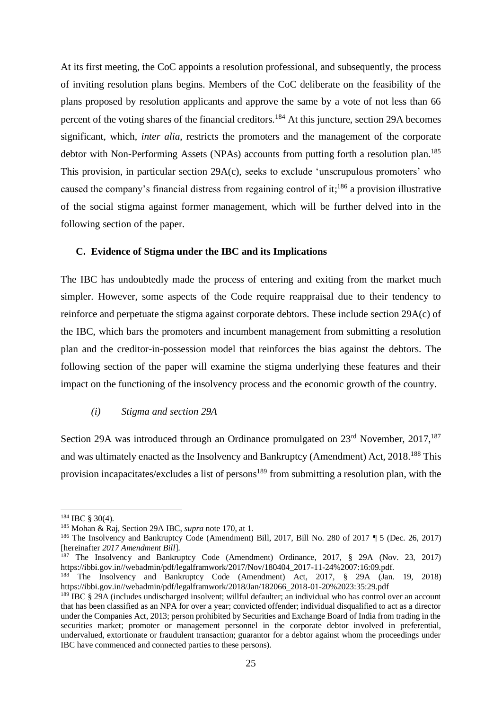At its first meeting, the CoC appoints a resolution professional, and subsequently, the process of inviting resolution plans begins. Members of the CoC deliberate on the feasibility of the plans proposed by resolution applicants and approve the same by a vote of not less than 66 percent of the voting shares of the financial creditors.<sup>184</sup> At this juncture, section 29A becomes significant, which, *inter alia*, restricts the promoters and the management of the corporate debtor with Non-Performing Assets (NPAs) accounts from putting forth a resolution plan.<sup>185</sup> This provision, in particular section 29A(c), seeks to exclude 'unscrupulous promoters' who caused the company's financial distress from regaining control of it;<sup>186</sup> a provision illustrative of the social stigma against former management, which will be further delved into in the following section of the paper.

#### <span id="page-26-0"></span>**C. Evidence of Stigma under the IBC and its Implications**

The IBC has undoubtedly made the process of entering and exiting from the market much simpler. However, some aspects of the Code require reappraisal due to their tendency to reinforce and perpetuate the stigma against corporate debtors. These include section 29A(c) of the IBC, which bars the promoters and incumbent management from submitting a resolution plan and the creditor-in-possession model that reinforces the bias against the debtors. The following section of the paper will examine the stigma underlying these features and their impact on the functioning of the insolvency process and the economic growth of the country.

#### <span id="page-26-1"></span>*(i) Stigma and section 29A*

Section 29A was introduced through an Ordinance promulgated on  $23<sup>rd</sup>$  November,  $2017$ ,  $187$ and was ultimately enacted as the Insolvency and Bankruptcy (Amendment) Act, 2018.<sup>188</sup> This provision incapacitates/excludes a list of persons<sup>189</sup> from submitting a resolution plan, with the

 $184$  IBC § 30(4).

<sup>185</sup> Mohan & Raj, Section 29A IBC, *supra* note 170, at 1.

<sup>186</sup> The Insolvency and Bankruptcy Code (Amendment) Bill, 2017, Bill No. 280 of 2017 ¶ 5 (Dec. 26, 2017) [hereinafter *2017 Amendment Bill*].

<sup>187</sup> The Insolvency and Bankruptcy Code (Amendment) Ordinance, 2017, § 29A (Nov. 23, 2017) https://ibbi.gov.in//webadmin/pdf/legalframwork/2017/Nov/180404\_2017-11-24%2007:16:09.pdf.

<sup>&</sup>lt;sup>188</sup> The Insolvency and Bankruptcy Code (Amendment) Act, 2017, § 29A (Jan. 19, 2018) https://ibbi.gov.in//webadmin/pdf/legalframwork/2018/Jan/182066\_2018-01-20%2023:35:29.pdf

<sup>&</sup>lt;sup>189</sup> IBC § 29A (includes undischarged insolvent; willful defaulter; an individual who has control over an account that has been classified as an NPA for over a year; convicted offender; individual disqualified to act as a director under the Companies Act, 2013; person prohibited by Securities and Exchange Board of India from trading in the securities market; promoter or management personnel in the corporate debtor involved in preferential, undervalued, extortionate or fraudulent transaction; guarantor for a debtor against whom the proceedings under IBC have commenced and connected parties to these persons).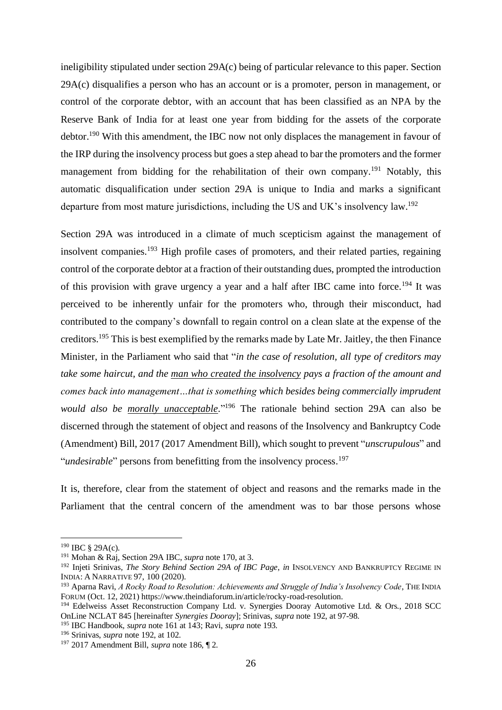ineligibility stipulated under section 29A(c) being of particular relevance to this paper. Section 29A(c) disqualifies a person who has an account or is a promoter, person in management, or control of the corporate debtor, with an account that has been classified as an NPA by the Reserve Bank of India for at least one year from bidding for the assets of the corporate debtor.<sup>190</sup> With this amendment, the IBC now not only displaces the management in favour of the IRP during the insolvency process but goes a step ahead to bar the promoters and the former management from bidding for the rehabilitation of their own company.<sup>191</sup> Notably, this automatic disqualification under section 29A is unique to India and marks a significant departure from most mature jurisdictions, including the US and UK's insolvency law.<sup>192</sup>

Section 29A was introduced in a climate of much scepticism against the management of insolvent companies.<sup>193</sup> High profile cases of promoters, and their related parties, regaining control of the corporate debtor at a fraction of their outstanding dues, prompted the introduction of this provision with grave urgency a year and a half after IBC came into force.<sup>194</sup> It was perceived to be inherently unfair for the promoters who, through their misconduct, had contributed to the company's downfall to regain control on a clean slate at the expense of the creditors.<sup>195</sup> This is best exemplified by the remarks made by Late Mr. Jaitley, the then Finance Minister, in the Parliament who said that "*in the case of resolution, all type of creditors may take some haircut, and the man who created the insolvency pays a fraction of the amount and comes back into management…that is something which besides being commercially imprudent would also be morally unacceptable*." <sup>196</sup> The rationale behind section 29A can also be discerned through the statement of object and reasons of the Insolvency and Bankruptcy Code (Amendment) Bill, 2017 (2017 Amendment Bill), which sought to prevent "*unscrupulous*" and "*undesirable*" persons from benefitting from the insolvency process. 197

It is, therefore, clear from the statement of object and reasons and the remarks made in the Parliament that the central concern of the amendment was to bar those persons whose

 $190$  IBC § 29A(c).

<sup>191</sup> Mohan & Raj, Section 29A IBC, *supra* note 170, at 3.

<sup>192</sup> Injeti Srinivas*, The Story Behind Section 29A of IBC Page*, *in* INSOLVENCY AND BANKRUPTCY REGIME IN INDIA: A NARRATIVE 97, 100 (2020).

<sup>193</sup> Aparna Ravi, *A Rocky Road to Resolution: Achievements and Struggle of India's Insolvency Code*, THE INDIA FORUM (Oct. 12, 2021) https://www.theindiaforum.in/article/rocky-road-resolution.

<sup>194</sup> Edelweiss Asset Reconstruction Company Ltd. v. Synergies Dooray Automotive Ltd. & Ors., 2018 SCC OnLine NCLAT 845 [hereinafter *Synergies Dooray*]; Srinivas, *supra* note 192, at 97-98.

<sup>195</sup> IBC Handbook*, supra* note 161 at 143; Ravi, *supra* note 193.

<sup>196</sup> Srinivas, *supra* note 192, at 102.

<sup>197</sup> 2017 Amendment Bill, *supra* note 186, ¶ 2.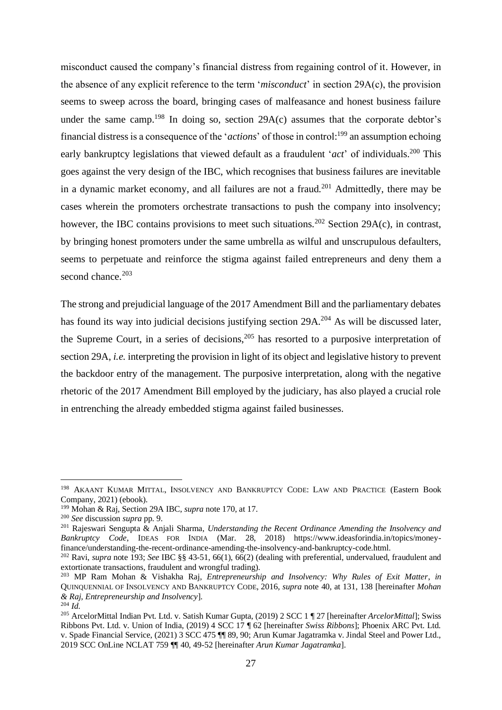misconduct caused the company's financial distress from regaining control of it. However, in the absence of any explicit reference to the term '*misconduct*' in section 29A(c), the provision seems to sweep across the board, bringing cases of malfeasance and honest business failure under the same camp.<sup>198</sup> In doing so, section  $29A(c)$  assumes that the corporate debtor's financial distress is a consequence of the '*actions*' of those in control:<sup>199</sup> an assumption echoing early bankruptcy legislations that viewed default as a fraudulent '*act*' of individuals.<sup>200</sup> This goes against the very design of the IBC, which recognises that business failures are inevitable in a dynamic market economy, and all failures are not a fraud.<sup>201</sup> Admittedly, there may be cases wherein the promoters orchestrate transactions to push the company into insolvency; however, the IBC contains provisions to meet such situations.<sup>202</sup> Section 29A(c), in contrast, by bringing honest promoters under the same umbrella as wilful and unscrupulous defaulters, seems to perpetuate and reinforce the stigma against failed entrepreneurs and deny them a second chance.<sup>203</sup>

The strong and prejudicial language of the 2017 Amendment Bill and the parliamentary debates has found its way into judicial decisions justifying section 29A.<sup>204</sup> As will be discussed later, the Supreme Court, in a series of decisions,  $205$  has resorted to a purposive interpretation of section 29A, *i.e.* interpreting the provision in light of its object and legislative history to prevent the backdoor entry of the management. The purposive interpretation, along with the negative rhetoric of the 2017 Amendment Bill employed by the judiciary, has also played a crucial role in entrenching the already embedded stigma against failed businesses.

<sup>198</sup> AKAANT KUMAR MITTAL, INSOLVENCY AND BANKRUPTCY CODE: LAW AND PRACTICE (Eastern Book Company, 2021) (ebook).

<sup>199</sup> Mohan & Raj, Section 29A IBC, *supra* note 170, at 17.

<sup>200</sup> *See* discussion *supra* pp. 9.

<sup>201</sup> Rajeswari Sengupta & Anjali Sharma, *Understanding the Recent Ordinance Amending the Insolvency and Bankruptcy Code*, IDEAS FOR INDIA (Mar. 28, 2018) https://www.ideasforindia.in/topics/moneyfinance/understanding-the-recent-ordinance-amending-the-insolvency-and-bankruptcy-code.html.

<sup>202</sup> Ravi, *supra* note 193; *See* IBC §§ 43-51, 66(1), 66(2) (dealing with preferential, undervalued, fraudulent and extortionate transactions, fraudulent and wrongful trading).

<sup>203</sup> MP Ram Mohan & Vishakha Raj, *Entrepreneurship and Insolvency: Why Rules of Exit Matter*, *in* QUINQUENNIAL OF INSOLVENCY AND BANKRUPTCY CODE, 2016, *supra* note 40, at 131, 138 [hereinafter *Mohan & Raj, Entrepreneurship and Insolvency*].

<sup>204</sup> *Id.*

<sup>205</sup> ArcelorMittal Indian Pvt. Ltd. v. Satish Kumar Gupta, (2019) 2 SCC 1 ¶ 27 [hereinafter *ArcelorMittal*]; Swiss Ribbons Pvt. Ltd. v. Union of India, (2019) 4 SCC 17 ¶ 62 [hereinafter *Swiss Ribbons*]; Phoenix ARC Pvt. Ltd. v. Spade Financial Service, (2021) 3 SCC 475 ¶¶ 89, 90; Arun Kumar Jagatramka v. Jindal Steel and Power Ltd., 2019 SCC OnLine NCLAT 759 ¶¶ 40, 49-52 [hereinafter *Arun Kumar Jagatramka*].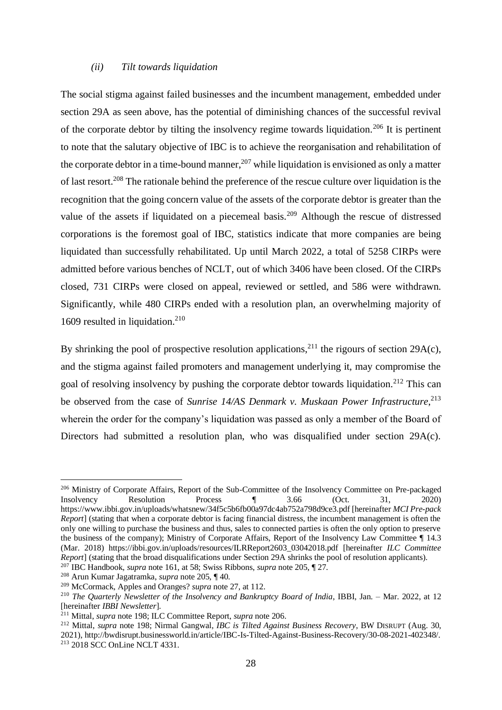#### *(ii) Tilt towards liquidation*

<span id="page-29-0"></span>The social stigma against failed businesses and the incumbent management, embedded under section 29A as seen above, has the potential of diminishing chances of the successful revival of the corporate debtor by tilting the insolvency regime towards liquidation.<sup>206</sup> It is pertinent to note that the salutary objective of IBC is to achieve the reorganisation and rehabilitation of the corporate debtor in a time-bound manner,  $207$  while liquidation is envisioned as only a matter of last resort.<sup>208</sup> The rationale behind the preference of the rescue culture over liquidation is the recognition that the going concern value of the assets of the corporate debtor is greater than the value of the assets if liquidated on a piecemeal basis.<sup>209</sup> Although the rescue of distressed corporations is the foremost goal of IBC, statistics indicate that more companies are being liquidated than successfully rehabilitated. Up until March 2022, a total of 5258 CIRPs were admitted before various benches of NCLT, out of which 3406 have been closed. Of the CIRPs closed, 731 CIRPs were closed on appeal, reviewed or settled, and 586 were withdrawn. Significantly, while 480 CIRPs ended with a resolution plan, an overwhelming majority of 1609 resulted in liquidation.<sup>210</sup>

By shrinking the pool of prospective resolution applications,  $2^{11}$  the rigours of section 29A(c), and the stigma against failed promoters and management underlying it, may compromise the goal of resolving insolvency by pushing the corporate debtor towards liquidation.<sup>212</sup> This can be observed from the case of *Sunrise 14/AS Denmark v. Muskaan Power Infrastructure*, 213 wherein the order for the company's liquidation was passed as only a member of the Board of Directors had submitted a resolution plan, who was disqualified under section 29A(c).

<sup>206</sup> Ministry of Corporate Affairs, Report of the Sub-Committee of the Insolvency Committee on Pre-packaged Insolvency Resolution Process ¶ 3.66 (Oct. 31, 2020) https://www.ibbi.gov.in/uploads/whatsnew/34f5c5b6fb00a97dc4ab752a798d9ce3.pdf [hereinafter *MCI Pre-pack Report*] (stating that when a corporate debtor is facing financial distress, the incumbent management is often the only one willing to purchase the business and thus, sales to connected parties is often the only option to preserve the business of the company); Ministry of Corporate Affairs, Report of the Insolvency Law Committee ¶ 14.3 (Mar. 2018) https://ibbi.gov.in/uploads/resources/ILRReport2603\_03042018.pdf [hereinafter *ILC Committee Report*] (stating that the broad disqualifications under Section 29A shrinks the pool of resolution applicants).

<sup>207</sup> IBC Handbook*, supra* note 161, at 58; Swiss Ribbons, *supra* note 205, ¶ 27.

<sup>208</sup> Arun Kumar Jagatramka, *supra* note 205, ¶ 40.

<sup>209</sup> McCormack, Apples and Oranges? *supra* note 27, at 112.

<sup>&</sup>lt;sup>210</sup> *The Quarterly Newsletter of the Insolvency and Bankruptcy Board of India*, IBBI, Jan. – Mar. 2022, at 12 [hereinafter *IBBI Newsletter*].

<sup>211</sup> Mittal, *supra* note 198; ILC Committee Report, *supra* note 206.

<sup>212</sup> Mittal, *supra* note 198; Nirmal Gangwal, *IBC is Tilted Against Business Recovery*, BW DISRUPT (Aug. 30, 2021), http://bwdisrupt.businessworld.in/article/IBC-Is-Tilted-Against-Business-Recovery/30-08-2021-402348/. <sup>213</sup> 2018 SCC OnLine NCLT 4331.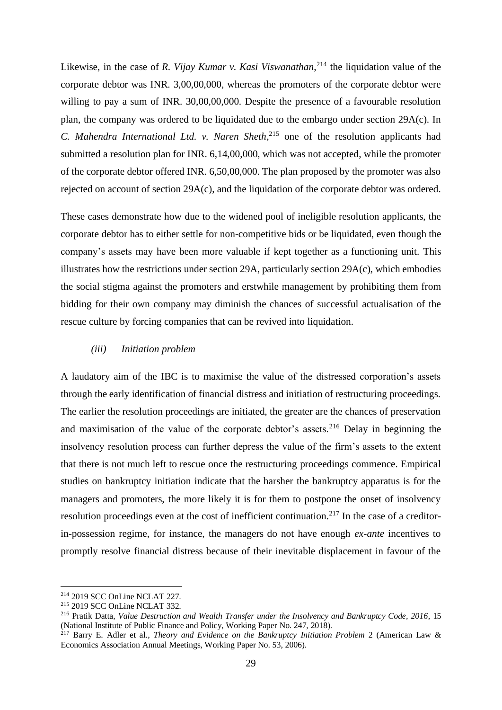Likewise, in the case of *R. Vijay Kumar v. Kasi Viswanathan*, <sup>214</sup> the liquidation value of the corporate debtor was INR. 3,00,00,000, whereas the promoters of the corporate debtor were willing to pay a sum of INR. 30,00,00,000. Despite the presence of a favourable resolution plan, the company was ordered to be liquidated due to the embargo under section 29A(c). In *C. Mahendra International Ltd. v. Naren Sheth*, <sup>215</sup> one of the resolution applicants had submitted a resolution plan for INR. 6,14,00,000, which was not accepted, while the promoter of the corporate debtor offered INR. 6,50,00,000. The plan proposed by the promoter was also rejected on account of section 29A(c), and the liquidation of the corporate debtor was ordered.

These cases demonstrate how due to the widened pool of ineligible resolution applicants, the corporate debtor has to either settle for non-competitive bids or be liquidated, even though the company's assets may have been more valuable if kept together as a functioning unit. This illustrates how the restrictions under section 29A, particularly section 29A(c), which embodies the social stigma against the promoters and erstwhile management by prohibiting them from bidding for their own company may diminish the chances of successful actualisation of the rescue culture by forcing companies that can be revived into liquidation.

#### <span id="page-30-0"></span>*(iii) Initiation problem*

A laudatory aim of the IBC is to maximise the value of the distressed corporation's assets through the early identification of financial distress and initiation of restructuring proceedings. The earlier the resolution proceedings are initiated, the greater are the chances of preservation and maximisation of the value of the corporate debtor's assets.<sup>216</sup> Delay in beginning the insolvency resolution process can further depress the value of the firm's assets to the extent that there is not much left to rescue once the restructuring proceedings commence. Empirical studies on bankruptcy initiation indicate that the harsher the bankruptcy apparatus is for the managers and promoters, the more likely it is for them to postpone the onset of insolvency resolution proceedings even at the cost of inefficient continuation.<sup>217</sup> In the case of a creditorin-possession regime, for instance, the managers do not have enough *ex-ante* incentives to promptly resolve financial distress because of their inevitable displacement in favour of the

<sup>214</sup> 2019 SCC OnLine NCLAT 227.

<sup>215</sup> 2019 SCC OnLine NCLAT 332.

<sup>216</sup> Pratik Datta, *Value Destruction and Wealth Transfer under the Insolvency and Bankruptcy Code, 2016*, 15 (National Institute of Public Finance and Policy, Working Paper No. 247, 2018).

<sup>217</sup> Barry E. Adler et al., *Theory and Evidence on the Bankruptcy Initiation Problem* 2 (American Law & Economics Association Annual Meetings, Working Paper No. 53, 2006).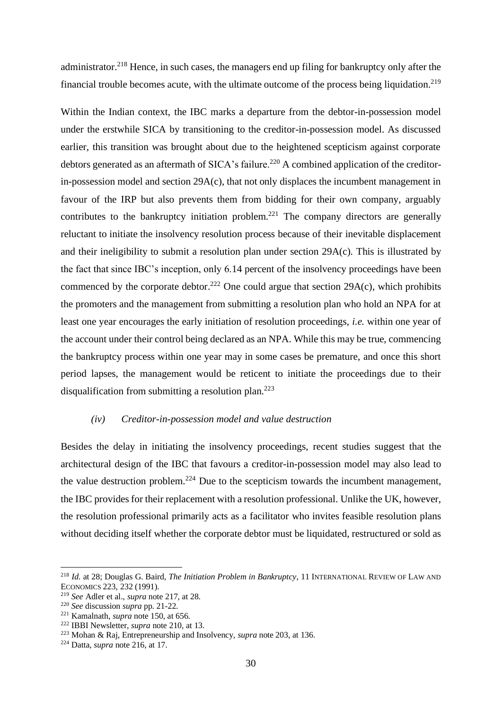administrator.<sup>218</sup> Hence, in such cases, the managers end up filing for bankruptcy only after the financial trouble becomes acute, with the ultimate outcome of the process being liquidation.<sup>219</sup>

Within the Indian context, the IBC marks a departure from the debtor-in-possession model under the erstwhile SICA by transitioning to the creditor-in-possession model. As discussed earlier, this transition was brought about due to the heightened scepticism against corporate debtors generated as an aftermath of SICA's failure.<sup>220</sup> A combined application of the creditorin-possession model and section 29A(c), that not only displaces the incumbent management in favour of the IRP but also prevents them from bidding for their own company, arguably contributes to the bankruptcy initiation problem.<sup>221</sup> The company directors are generally reluctant to initiate the insolvency resolution process because of their inevitable displacement and their ineligibility to submit a resolution plan under section 29A(c). This is illustrated by the fact that since IBC's inception, only 6.14 percent of the insolvency proceedings have been commenced by the corporate debtor.<sup>222</sup> One could argue that section 29A(c), which prohibits the promoters and the management from submitting a resolution plan who hold an NPA for at least one year encourages the early initiation of resolution proceedings, *i.e.* within one year of the account under their control being declared as an NPA. While this may be true, commencing the bankruptcy process within one year may in some cases be premature, and once this short period lapses, the management would be reticent to initiate the proceedings due to their disqualification from submitting a resolution plan.<sup>223</sup>

#### <span id="page-31-0"></span>*(iv) Creditor-in-possession model and value destruction*

Besides the delay in initiating the insolvency proceedings, recent studies suggest that the architectural design of the IBC that favours a creditor-in-possession model may also lead to the value destruction problem.<sup>224</sup> Due to the scepticism towards the incumbent management, the IBC provides for their replacement with a resolution professional. Unlike the UK, however, the resolution professional primarily acts as a facilitator who invites feasible resolution plans without deciding itself whether the corporate debtor must be liquidated, restructured or sold as

<sup>218</sup> *Id.* at 28; Douglas G. Baird, *The Initiation Problem in Bankruptcy*, 11 INTERNATIONAL REVIEW OF LAW AND ECONOMICS 223, 232 (1991).

<sup>219</sup> *See* Adler et al., *supra* note 217, at 28.

<sup>220</sup> *See* discussion *supra* pp. 21-22.

<sup>221</sup> Kamalnath, *supra* note 150, at 656.

<sup>222</sup> IBBI Newsletter, *supra* note 210*,* at 13.

<sup>223</sup> Mohan & Raj, Entrepreneurship and Insolvency, *supra* note 203, at 136.

<sup>224</sup> Datta, *supra* note 216, at 17.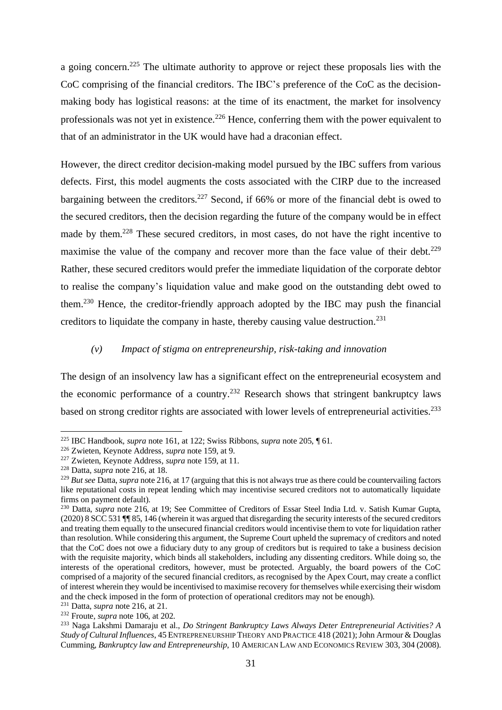a going concern.<sup>225</sup> The ultimate authority to approve or reject these proposals lies with the CoC comprising of the financial creditors. The IBC's preference of the CoC as the decisionmaking body has logistical reasons: at the time of its enactment, the market for insolvency professionals was not yet in existence.<sup>226</sup> Hence, conferring them with the power equivalent to that of an administrator in the UK would have had a draconian effect.

However, the direct creditor decision-making model pursued by the IBC suffers from various defects. First, this model augments the costs associated with the CIRP due to the increased bargaining between the creditors.<sup>227</sup> Second, if 66% or more of the financial debt is owed to the secured creditors, then the decision regarding the future of the company would be in effect made by them.<sup>228</sup> These secured creditors, in most cases, do not have the right incentive to maximise the value of the company and recover more than the face value of their debt.<sup>229</sup> Rather, these secured creditors would prefer the immediate liquidation of the corporate debtor to realise the company's liquidation value and make good on the outstanding debt owed to them.<sup>230</sup> Hence, the creditor-friendly approach adopted by the IBC may push the financial creditors to liquidate the company in haste, thereby causing value destruction.<sup>231</sup>

#### <span id="page-32-0"></span>*(v) Impact of stigma on entrepreneurship, risk-taking and innovation*

The design of an insolvency law has a significant effect on the entrepreneurial ecosystem and the economic performance of a country.<sup>232</sup> Research shows that stringent bankruptcy laws based on strong creditor rights are associated with lower levels of entrepreneurial activities.<sup>233</sup>

<sup>225</sup> IBC Handbook*, supra* note 161, at 122; Swiss Ribbons, *supra* note 205, ¶ 61.

<sup>226</sup> Zwieten, Keynote Address*, supra* note 159, at 9.

<sup>227</sup> Zwieten, Keynote Address*, supra* note 159, at 11.

<sup>228</sup> Datta, *supra* note 216, at 18.

<sup>&</sup>lt;sup>229</sup> *But see* Datta, *supra* note 216, at 17 (arguing that this is not always true as there could be countervailing factors like reputational costs in repeat lending which may incentivise secured creditors not to automatically liquidate firms on payment default).

<sup>230</sup> Datta, *supra* note 216, at 19; See Committee of Creditors of Essar Steel India Ltd. v. Satish Kumar Gupta, (2020) 8 SCC 531 ¶¶ 85, 146 (wherein it was argued that disregarding the security interests of the secured creditors and treating them equally to the unsecured financial creditors would incentivise them to vote for liquidation rather than resolution. While considering this argument, the Supreme Court upheld the supremacy of creditors and noted that the CoC does not owe a fiduciary duty to any group of creditors but is required to take a business decision with the requisite majority, which binds all stakeholders, including any dissenting creditors. While doing so, the interests of the operational creditors, however, must be protected. Arguably, the board powers of the CoC comprised of a majority of the secured financial creditors, as recognised by the Apex Court, may create a conflict of interest wherein they would be incentivised to maximise recovery for themselves while exercising their wisdom and the check imposed in the form of protection of operational creditors may not be enough).

<sup>231</sup> Datta, *supra* note 216, at 21.

<sup>232</sup> Froute, *supra* note 106, at 202.

<sup>233</sup> Naga Lakshmi Damaraju et al., *Do Stringent Bankruptcy Laws Always Deter Entrepreneurial Activities? A Study of Cultural Influences*, 45 ENTREPRENEURSHIP THEORY AND PRACTICE 418 (2021); John Armour & Douglas Cumming, *Bankruptcy law and Entrepreneurship*, 10 AMERICAN LAW AND ECONOMICS REVIEW 303, 304 (2008).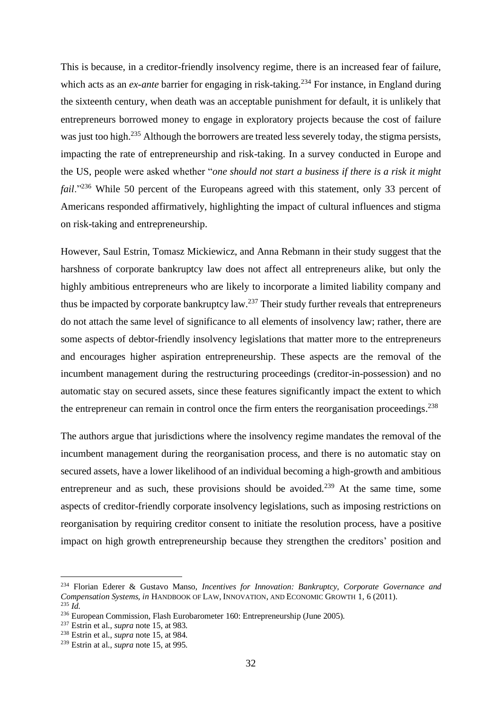This is because, in a creditor-friendly insolvency regime, there is an increased fear of failure, which acts as an *ex-ante* barrier for engaging in risk-taking.<sup>234</sup> For instance, in England during the sixteenth century, when death was an acceptable punishment for default, it is unlikely that entrepreneurs borrowed money to engage in exploratory projects because the cost of failure was just too high.<sup>235</sup> Although the borrowers are treated less severely today, the stigma persists, impacting the rate of entrepreneurship and risk-taking. In a survey conducted in Europe and the US, people were asked whether "*one should not start a business if there is a risk it might fail*."<sup>236</sup> While 50 percent of the Europeans agreed with this statement, only 33 percent of Americans responded affirmatively, highlighting the impact of cultural influences and stigma on risk-taking and entrepreneurship.

However, Saul Estrin, Tomasz Mickiewicz, and Anna Rebmann in their study suggest that the harshness of corporate bankruptcy law does not affect all entrepreneurs alike, but only the highly ambitious entrepreneurs who are likely to incorporate a limited liability company and thus be impacted by corporate bankruptcy law.<sup>237</sup> Their study further reveals that entrepreneurs do not attach the same level of significance to all elements of insolvency law; rather, there are some aspects of debtor-friendly insolvency legislations that matter more to the entrepreneurs and encourages higher aspiration entrepreneurship. These aspects are the removal of the incumbent management during the restructuring proceedings (creditor-in-possession) and no automatic stay on secured assets, since these features significantly impact the extent to which the entrepreneur can remain in control once the firm enters the reorganisation proceedings.<sup>238</sup>

The authors argue that jurisdictions where the insolvency regime mandates the removal of the incumbent management during the reorganisation process, and there is no automatic stay on secured assets, have a lower likelihood of an individual becoming a high-growth and ambitious entrepreneur and as such, these provisions should be avoided.<sup>239</sup> At the same time, some aspects of creditor-friendly corporate insolvency legislations, such as imposing restrictions on reorganisation by requiring creditor consent to initiate the resolution process, have a positive impact on high growth entrepreneurship because they strengthen the creditors' position and

<sup>234</sup> Florian Ederer & Gustavo Manso, *Incentives for Innovation: Bankruptcy, Corporate Governance and Compensation Systems, in* HANDBOOK OF LAW, INNOVATION, AND ECONOMIC GROWTH 1, 6 (2011). <sup>235</sup> *Id.*

<sup>236</sup> European Commission, Flash Eurobarometer 160: Entrepreneurship (June 2005).

<sup>237</sup> Estrin et al., *supra* note 15, at 983.

<sup>238</sup> Estrin et al., *supra* note 15, at 984.

<sup>239</sup> Estrin at al., *supra* note 15, at 995.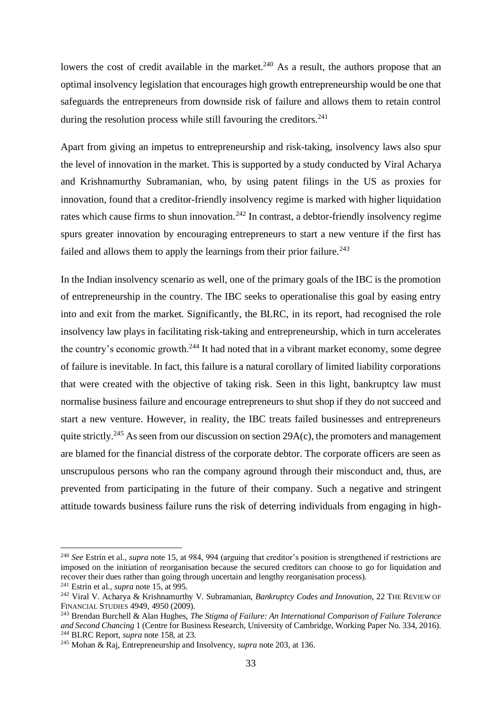lowers the cost of credit available in the market.<sup>240</sup> As a result, the authors propose that an optimal insolvency legislation that encourages high growth entrepreneurship would be one that safeguards the entrepreneurs from downside risk of failure and allows them to retain control during the resolution process while still favouring the creditors. $241$ 

Apart from giving an impetus to entrepreneurship and risk-taking, insolvency laws also spur the level of innovation in the market. This is supported by a study conducted by Viral Acharya and Krishnamurthy Subramanian, who, by using patent filings in the US as proxies for innovation, found that a creditor-friendly insolvency regime is marked with higher liquidation rates which cause firms to shun innovation.<sup>242</sup> In contrast, a debtor-friendly insolvency regime spurs greater innovation by encouraging entrepreneurs to start a new venture if the first has failed and allows them to apply the learnings from their prior failure.<sup>243</sup>

In the Indian insolvency scenario as well, one of the primary goals of the IBC is the promotion of entrepreneurship in the country. The IBC seeks to operationalise this goal by easing entry into and exit from the market. Significantly, the BLRC, in its report, had recognised the role insolvency law plays in facilitating risk-taking and entrepreneurship, which in turn accelerates the country's economic growth.<sup>244</sup> It had noted that in a vibrant market economy, some degree of failure is inevitable. In fact, this failure is a natural corollary of limited liability corporations that were created with the objective of taking risk. Seen in this light, bankruptcy law must normalise business failure and encourage entrepreneurs to shut shop if they do not succeed and start a new venture. However, in reality, the IBC treats failed businesses and entrepreneurs quite strictly.<sup>245</sup> As seen from our discussion on section 29 $A(c)$ , the promoters and management are blamed for the financial distress of the corporate debtor. The corporate officers are seen as unscrupulous persons who ran the company aground through their misconduct and, thus, are prevented from participating in the future of their company. Such a negative and stringent attitude towards business failure runs the risk of deterring individuals from engaging in high-

<sup>240</sup> *See* Estrin et al., *supra* note 15, at 984, 994 (arguing that creditor's position is strengthened if restrictions are imposed on the initiation of reorganisation because the secured creditors can choose to go for liquidation and recover their dues rather than going through uncertain and lengthy reorganisation process).

<sup>241</sup> Estrin et al., *supra* note 15, at 995.

<sup>242</sup> Viral V. Acharya & Krishnamurthy V. Subramanian, *Bankruptcy Codes and Innovation*, 22 THE REVIEW OF FINANCIAL STUDIES 4949, 4950 (2009).

<sup>243</sup> Brendan Burchell & Alan Hughes, *The Stigma of Failure: An International Comparison of Failure Tolerance and Second Chancing* 1 (Centre for Business Research, University of Cambridge, Working Paper No. 334, 2016). <sup>244</sup> BLRC Report, *supra* note 158, at 23.

<sup>245</sup> Mohan & Raj, Entrepreneurship and Insolvency, *supra* note 203, at 136.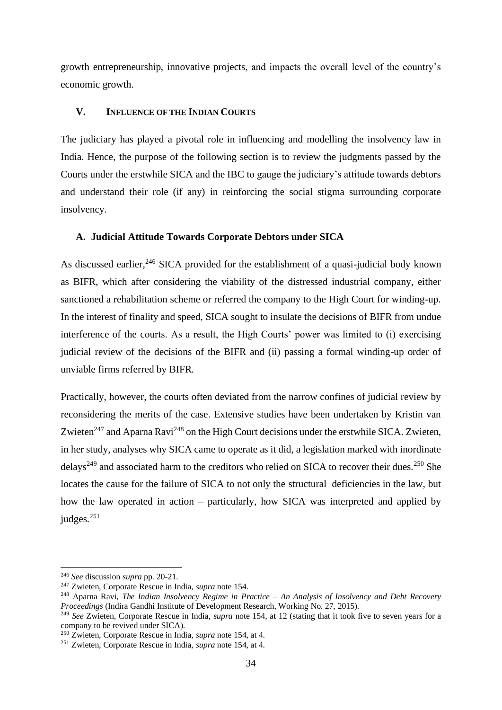growth entrepreneurship, innovative projects, and impacts the overall level of the country's economic growth.

#### <span id="page-35-0"></span>**V. INFLUENCE OF THE INDIAN COURTS**

The judiciary has played a pivotal role in influencing and modelling the insolvency law in India. Hence, the purpose of the following section is to review the judgments passed by the Courts under the erstwhile SICA and the IBC to gauge the judiciary's attitude towards debtors and understand their role (if any) in reinforcing the social stigma surrounding corporate insolvency.

#### <span id="page-35-1"></span>**A. Judicial Attitude Towards Corporate Debtors under SICA**

As discussed earlier,<sup>246</sup> SICA provided for the establishment of a quasi-judicial body known as BIFR, which after considering the viability of the distressed industrial company, either sanctioned a rehabilitation scheme or referred the company to the High Court for winding-up. In the interest of finality and speed, SICA sought to insulate the decisions of BIFR from undue interference of the courts. As a result, the High Courts' power was limited to (i) exercising judicial review of the decisions of the BIFR and (ii) passing a formal winding-up order of unviable firms referred by BIFR.

Practically, however, the courts often deviated from the narrow confines of judicial review by reconsidering the merits of the case. Extensive studies have been undertaken by Kristin van Zwieten<sup>247</sup> and Aparna Ravi<sup>248</sup> on the High Court decisions under the erstwhile SICA. Zwieten, in her study, analyses why SICA came to operate as it did, a legislation marked with inordinate delays<sup>249</sup> and associated harm to the creditors who relied on SICA to recover their dues.<sup>250</sup> She locates the cause for the failure of SICA to not only the structural deficiencies in the law, but how the law operated in action – particularly, how SICA was interpreted and applied by judges.<sup>251</sup>

<sup>246</sup> *See* discussion *supra* pp. 20-21.

<sup>247</sup> Zwieten, Corporate Rescue in India, *supra* note 154.

<sup>248</sup> Aparna Ravi, *The Indian Insolvency Regime in Practice – An Analysis of Insolvency and Debt Recovery Proceedings* (Indira Gandhi Institute of Development Research, Working No. 27, 2015).

<sup>249</sup> *See* Zwieten, Corporate Rescue in India, *supra* note 154, at 12 (stating that it took five to seven years for a company to be revived under SICA).

<sup>250</sup> Zwieten, Corporate Rescue in India, *supra* note 154, at 4.

<sup>251</sup> Zwieten, Corporate Rescue in India, *supra* note 154, at 4.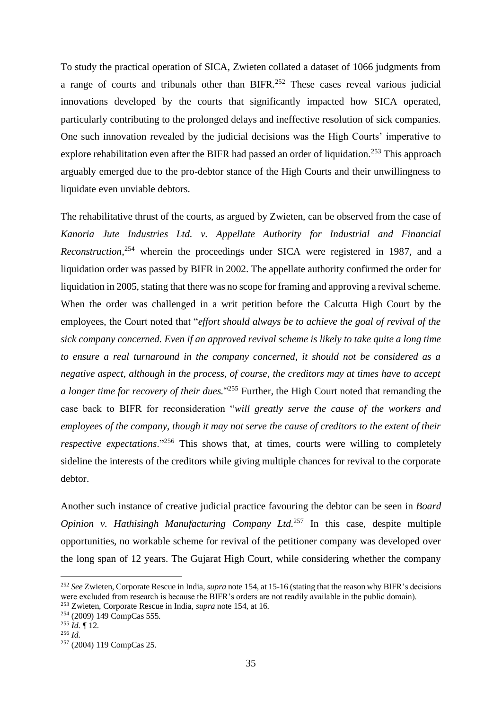To study the practical operation of SICA, Zwieten collated a dataset of 1066 judgments from a range of courts and tribunals other than BIFR.<sup>252</sup> These cases reveal various judicial innovations developed by the courts that significantly impacted how SICA operated, particularly contributing to the prolonged delays and ineffective resolution of sick companies. One such innovation revealed by the judicial decisions was the High Courts' imperative to explore rehabilitation even after the BIFR had passed an order of liquidation.<sup>253</sup> This approach arguably emerged due to the pro-debtor stance of the High Courts and their unwillingness to liquidate even unviable debtors.

The rehabilitative thrust of the courts, as argued by Zwieten, can be observed from the case of *Kanoria Jute Industries Ltd. v. Appellate Authority for Industrial and Financial Reconstruction*, <sup>254</sup> wherein the proceedings under SICA were registered in 1987, and a liquidation order was passed by BIFR in 2002. The appellate authority confirmed the order for liquidation in 2005, stating that there was no scope for framing and approving a revival scheme. When the order was challenged in a writ petition before the Calcutta High Court by the employees, the Court noted that "*effort should always be to achieve the goal of revival of the sick company concerned. Even if an approved revival scheme is likely to take quite a long time to ensure a real turnaround in the company concerned, it should not be considered as a negative aspect, although in the process, of course, the creditors may at times have to accept a longer time for recovery of their dues.*" <sup>255</sup> Further, the High Court noted that remanding the case back to BIFR for reconsideration "*will greatly serve the cause of the workers and employees of the company, though it may not serve the cause of creditors to the extent of their respective expectations.*"<sup>256</sup> This shows that, at times, courts were willing to completely sideline the interests of the creditors while giving multiple chances for revival to the corporate debtor.

Another such instance of creative judicial practice favouring the debtor can be seen in *Board Opinion v. Hathisingh Manufacturing Company Ltd.*<sup>257</sup> In this case, despite multiple opportunities, no workable scheme for revival of the petitioner company was developed over the long span of 12 years. The Gujarat High Court, while considering whether the company

<sup>252</sup> *See* Zwieten, Corporate Rescue in India, *supra* note 154, at 15-16 (stating that the reason why BIFR's decisions were excluded from research is because the BIFR's orders are not readily available in the public domain).

<sup>253</sup> Zwieten, Corporate Rescue in India, *supra* note 154, at 16.

<sup>254</sup> (2009) 149 CompCas 555.

<sup>255</sup> *Id.* ¶ 12.

<sup>256</sup> *Id.* 

<sup>257</sup> (2004) 119 CompCas 25.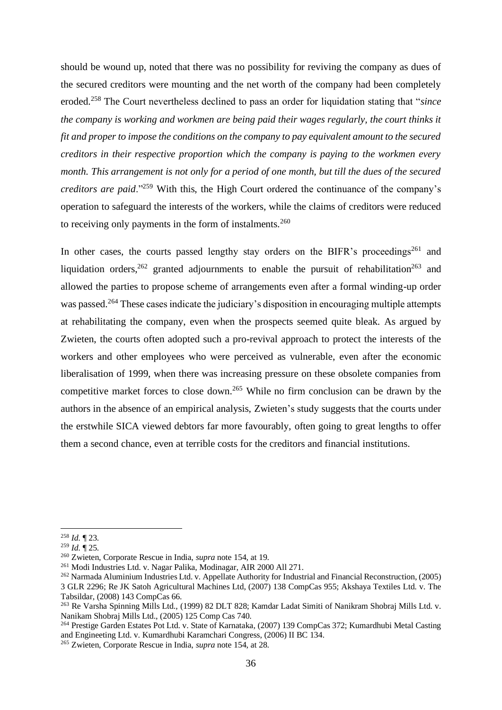should be wound up, noted that there was no possibility for reviving the company as dues of the secured creditors were mounting and the net worth of the company had been completely eroded.<sup>258</sup> The Court nevertheless declined to pass an order for liquidation stating that "*since the company is working and workmen are being paid their wages regularly, the court thinks it fit and proper to impose the conditions on the company to pay equivalent amount to the secured creditors in their respective proportion which the company is paying to the workmen every month. This arrangement is not only for a period of one month, but till the dues of the secured creditors are paid*."<sup>259</sup> With this, the High Court ordered the continuance of the company's operation to safeguard the interests of the workers, while the claims of creditors were reduced to receiving only payments in the form of instalments.<sup>260</sup>

In other cases, the courts passed lengthy stay orders on the BIFR's proceedings<sup>261</sup> and liquidation orders,  $262$  granted adjournments to enable the pursuit of rehabilitation  $263$  and allowed the parties to propose scheme of arrangements even after a formal winding-up order was passed.<sup>264</sup> These cases indicate the judiciary's disposition in encouraging multiple attempts at rehabilitating the company, even when the prospects seemed quite bleak. As argued by Zwieten, the courts often adopted such a pro-revival approach to protect the interests of the workers and other employees who were perceived as vulnerable, even after the economic liberalisation of 1999, when there was increasing pressure on these obsolete companies from competitive market forces to close down.<sup>265</sup> While no firm conclusion can be drawn by the authors in the absence of an empirical analysis, Zwieten's study suggests that the courts under the erstwhile SICA viewed debtors far more favourably, often going to great lengths to offer them a second chance, even at terrible costs for the creditors and financial institutions.

<sup>258</sup> *Id.* ¶ 23.

<sup>259</sup> *Id.* ¶ 25.

<sup>260</sup> Zwieten, Corporate Rescue in India, *supra* note 154, at 19.

<sup>261</sup> Modi Industries Ltd. v. Nagar Palika, Modinagar, AIR 2000 All 271.

<sup>262</sup> Narmada Aluminium Industries Ltd. v. Appellate Authority for Industrial and Financial Reconstruction, (2005) 3 GLR 2296; Re JK Satoh Agricultural Machines Ltd, (2007) 138 CompCas 955; Akshaya Textiles Ltd. v. The Tabsildar, (2008) 143 CompCas 66.

<sup>263</sup> Re Varsha Spinning Mills Ltd., (1999) 82 DLT 828; Kamdar Ladat Simiti of Nanikram Shobraj Mills Ltd. v. Nanikam Shobraj Mills Ltd., (2005) 125 Comp Cas 740.

<sup>264</sup> Prestige Garden Estates Pot Ltd. v. State of Karnataka, (2007) 139 CompCas 372; Kumardhubi Metal Casting and Engineeting Ltd. v. Kumardhubi Karamchari Congress, (2006) II BC 134.

<sup>265</sup> Zwieten, Corporate Rescue in India, *supra* note 154, at 28.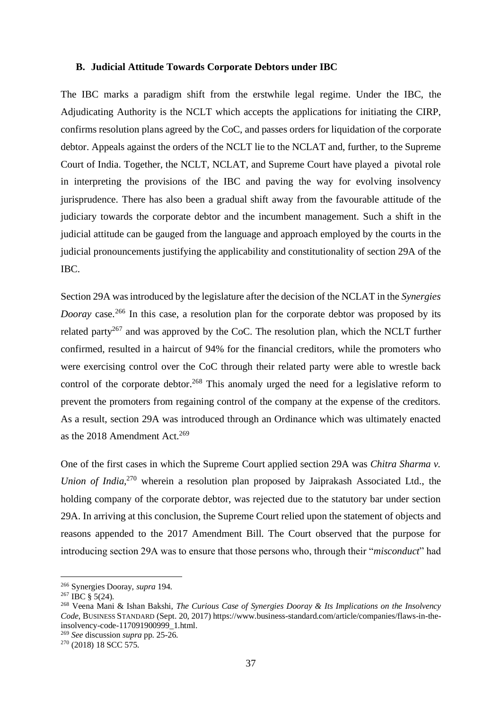#### <span id="page-38-0"></span>**B. Judicial Attitude Towards Corporate Debtors under IBC**

The IBC marks a paradigm shift from the erstwhile legal regime. Under the IBC, the Adjudicating Authority is the NCLT which accepts the applications for initiating the CIRP, confirms resolution plans agreed by the CoC, and passes orders for liquidation of the corporate debtor. Appeals against the orders of the NCLT lie to the NCLAT and, further, to the Supreme Court of India. Together, the NCLT, NCLAT, and Supreme Court have played a pivotal role in interpreting the provisions of the IBC and paving the way for evolving insolvency jurisprudence. There has also been a gradual shift away from the favourable attitude of the judiciary towards the corporate debtor and the incumbent management. Such a shift in the judicial attitude can be gauged from the language and approach employed by the courts in the judicial pronouncements justifying the applicability and constitutionality of section 29A of the IBC.

Section 29A was introduced by the legislature after the decision of the NCLAT in the *Synergies Dooray* case.<sup>266</sup> In this case, a resolution plan for the corporate debtor was proposed by its related party<sup>267</sup> and was approved by the CoC. The resolution plan, which the NCLT further confirmed, resulted in a haircut of 94% for the financial creditors, while the promoters who were exercising control over the CoC through their related party were able to wrestle back control of the corporate debtor.<sup>268</sup> This anomaly urged the need for a legislative reform to prevent the promoters from regaining control of the company at the expense of the creditors. As a result, section 29A was introduced through an Ordinance which was ultimately enacted as the 2018 Amendment Act.<sup>269</sup>

One of the first cases in which the Supreme Court applied section 29A was *Chitra Sharma v. Union of India,*<sup>270</sup> wherein a resolution plan proposed by Jaiprakash Associated Ltd., the holding company of the corporate debtor, was rejected due to the statutory bar under section 29A. In arriving at this conclusion, the Supreme Court relied upon the statement of objects and reasons appended to the 2017 Amendment Bill. The Court observed that the purpose for introducing section 29A was to ensure that those persons who, through their "*misconduct*" had

<sup>269</sup> *See* discussion *supra* pp. 25-26.

<sup>266</sup> Synergies Dooray, *supra* 194.

 $267$  IBC  $\overline{\$}$  5(24).

<sup>268</sup> Veena Mani & Ishan Bakshi, *The Curious Case of Synergies Dooray & Its Implications on the Insolvency Code*, BUSINESS STANDARD (Sept. 20, 2017) https://www.business-standard.com/article/companies/flaws-in-theinsolvency-code-117091900999\_1.html.

 $270 (2018) 18$  SCC 575.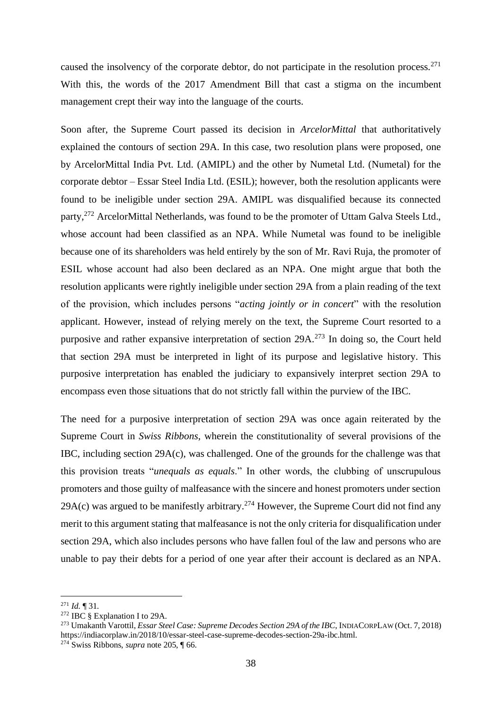caused the insolvency of the corporate debtor, do not participate in the resolution process.<sup>271</sup> With this, the words of the 2017 Amendment Bill that cast a stigma on the incumbent management crept their way into the language of the courts.

Soon after, the Supreme Court passed its decision in *ArcelorMittal* that authoritatively explained the contours of section 29A. In this case, two resolution plans were proposed, one by ArcelorMittal India Pvt. Ltd. (AMIPL) and the other by Numetal Ltd. (Numetal) for the corporate debtor – Essar Steel India Ltd. (ESIL); however, both the resolution applicants were found to be ineligible under section 29A. AMIPL was disqualified because its connected party,<sup>272</sup> ArcelorMittal Netherlands, was found to be the promoter of Uttam Galva Steels Ltd., whose account had been classified as an NPA. While Numetal was found to be ineligible because one of its shareholders was held entirely by the son of Mr. Ravi Ruja, the promoter of ESIL whose account had also been declared as an NPA. One might argue that both the resolution applicants were rightly ineligible under section 29A from a plain reading of the text of the provision, which includes persons "*acting jointly or in concert*" with the resolution applicant. However, instead of relying merely on the text, the Supreme Court resorted to a purposive and rather expansive interpretation of section  $29A<sup>273</sup>$  In doing so, the Court held that section 29A must be interpreted in light of its purpose and legislative history. This purposive interpretation has enabled the judiciary to expansively interpret section 29A to encompass even those situations that do not strictly fall within the purview of the IBC.

The need for a purposive interpretation of section 29A was once again reiterated by the Supreme Court in *Swiss Ribbons*, wherein the constitutionality of several provisions of the IBC, including section 29A(c), was challenged. One of the grounds for the challenge was that this provision treats "*unequals as equals*." In other words, the clubbing of unscrupulous promoters and those guilty of malfeasance with the sincere and honest promoters under section 29A(c) was argued to be manifestly arbitrary.<sup>274</sup> However, the Supreme Court did not find any merit to this argument stating that malfeasance is not the only criteria for disqualification under section 29A, which also includes persons who have fallen foul of the law and persons who are unable to pay their debts for a period of one year after their account is declared as an NPA.

<sup>271</sup> *Id.* ¶ 31.

<sup>&</sup>lt;sup>272</sup> IBC § Explanation I to 29A.

<sup>273</sup> Umakanth Varottil, *Essar Steel Case: Supreme Decodes Section 29A of the IBC*, INDIACORPLAW (Oct. 7, 2018) https://indiacorplaw.in/2018/10/essar-steel-case-supreme-decodes-section-29a-ibc.html. <sup>274</sup> Swiss Ribbons, *supra* note 205, ¶ 66.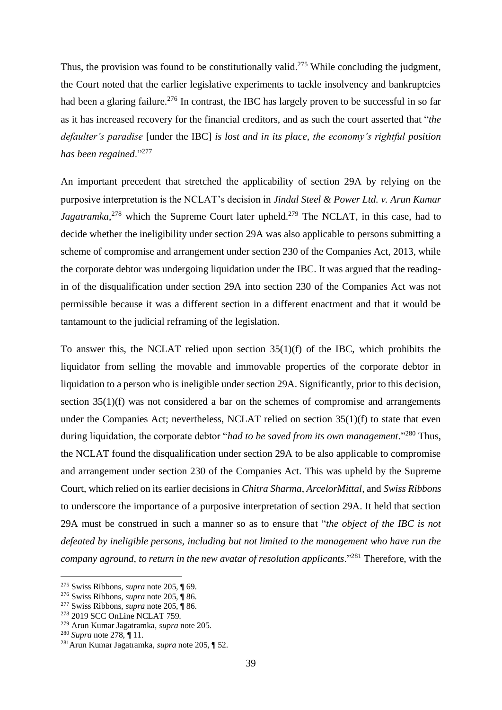Thus, the provision was found to be constitutionally valid.<sup>275</sup> While concluding the judgment, the Court noted that the earlier legislative experiments to tackle insolvency and bankruptcies had been a glaring failure.<sup>276</sup> In contrast, the IBC has largely proven to be successful in so far as it has increased recovery for the financial creditors, and as such the court asserted that "*the defaulter's paradise* [under the IBC] *is lost and in its place, the economy's rightful position has been regained*."<sup>277</sup>

An important precedent that stretched the applicability of section 29A by relying on the purposive interpretation is the NCLAT's decision in *Jindal Steel & Power Ltd. v. Arun Kumar*  Jagatramka,<sup>278</sup> which the Supreme Court later upheld.<sup>279</sup> The NCLAT, in this case, had to decide whether the ineligibility under section 29A was also applicable to persons submitting a scheme of compromise and arrangement under section 230 of the Companies Act, 2013, while the corporate debtor was undergoing liquidation under the IBC. It was argued that the readingin of the disqualification under section 29A into section 230 of the Companies Act was not permissible because it was a different section in a different enactment and that it would be tantamount to the judicial reframing of the legislation.

To answer this, the NCLAT relied upon section 35(1)(f) of the IBC, which prohibits the liquidator from selling the movable and immovable properties of the corporate debtor in liquidation to a person who is ineligible under section 29A. Significantly, prior to this decision, section 35(1)(f) was not considered a bar on the schemes of compromise and arrangements under the Companies Act; nevertheless, NCLAT relied on section 35(1)(f) to state that even during liquidation, the corporate debtor "*had to be saved from its own management*."<sup>280</sup> Thus, the NCLAT found the disqualification under section 29A to be also applicable to compromise and arrangement under section 230 of the Companies Act. This was upheld by the Supreme Court, which relied on its earlier decisions in *Chitra Sharma*, *ArcelorMittal*, and *Swiss Ribbons*  to underscore the importance of a purposive interpretation of section 29A. It held that section 29A must be construed in such a manner so as to ensure that "*the object of the IBC is not defeated by ineligible persons, including but not limited to the management who have run the company aground, to return in the new avatar of resolution applicants*."<sup>281</sup> Therefore, with the

<sup>275</sup> Swiss Ribbons, *supra* note 205, ¶ 69.

<sup>276</sup> Swiss Ribbons, *supra* note 205, ¶ 86.

<sup>277</sup> Swiss Ribbons, *supra* note 205, ¶ 86.

<sup>278</sup> 2019 SCC OnLine NCLAT 759.

<sup>279</sup> Arun Kumar Jagatramka, *supra* note 205.

<sup>280</sup> *Supra* note 278, ¶ 11.

<sup>281</sup>Arun Kumar Jagatramka, *supra* note 205, ¶ 52.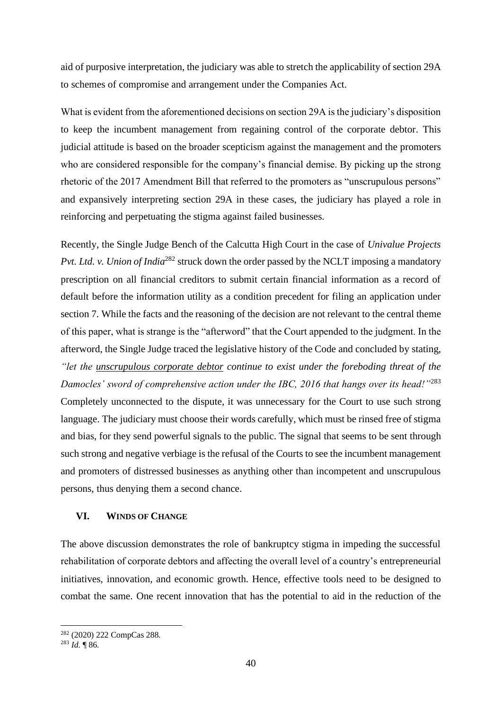aid of purposive interpretation, the judiciary was able to stretch the applicability of section 29A to schemes of compromise and arrangement under the Companies Act.

What is evident from the aforementioned decisions on section 29A is the judiciary's disposition to keep the incumbent management from regaining control of the corporate debtor. This judicial attitude is based on the broader scepticism against the management and the promoters who are considered responsible for the company's financial demise. By picking up the strong rhetoric of the 2017 Amendment Bill that referred to the promoters as "unscrupulous persons" and expansively interpreting section 29A in these cases, the judiciary has played a role in reinforcing and perpetuating the stigma against failed businesses.

Recently, the Single Judge Bench of the Calcutta High Court in the case of *Univalue Projects Pvt. Ltd. v. Union of India*<sup>282</sup> struck down the order passed by the NCLT imposing a mandatory prescription on all financial creditors to submit certain financial information as a record of default before the information utility as a condition precedent for filing an application under section 7. While the facts and the reasoning of the decision are not relevant to the central theme of this paper, what is strange is the "afterword" that the Court appended to the judgment. In the afterword, the Single Judge traced the legislative history of the Code and concluded by stating, *"let the unscrupulous corporate debtor continue to exist under the foreboding threat of the Damocles' sword of comprehensive action under the IBC, 2016 that hangs over its head!"*<sup>283</sup> Completely unconnected to the dispute, it was unnecessary for the Court to use such strong language. The judiciary must choose their words carefully, which must be rinsed free of stigma and bias, for they send powerful signals to the public. The signal that seems to be sent through such strong and negative verbiage is the refusal of the Courts to see the incumbent management and promoters of distressed businesses as anything other than incompetent and unscrupulous persons, thus denying them a second chance.

#### <span id="page-41-0"></span>**VI. WINDS OF CHANGE**

The above discussion demonstrates the role of bankruptcy stigma in impeding the successful rehabilitation of corporate debtors and affecting the overall level of a country's entrepreneurial initiatives, innovation, and economic growth. Hence, effective tools need to be designed to combat the same. One recent innovation that has the potential to aid in the reduction of the

<sup>282</sup> (2020) 222 CompCas 288.

 $^{283}$  *Id*. **¶** 86.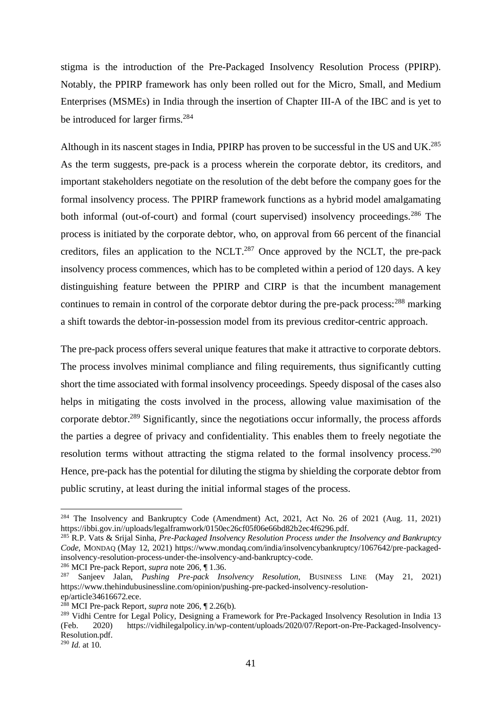stigma is the introduction of the Pre-Packaged Insolvency Resolution Process (PPIRP). Notably, the PPIRP framework has only been rolled out for the Micro, Small, and Medium Enterprises (MSMEs) in India through the insertion of Chapter III-A of the IBC and is yet to be introduced for larger firms.<sup>284</sup>

Although in its nascent stages in India, PPIRP has proven to be successful in the US and UK.<sup>285</sup> As the term suggests, pre-pack is a process wherein the corporate debtor, its creditors, and important stakeholders negotiate on the resolution of the debt before the company goes for the formal insolvency process. The PPIRP framework functions as a hybrid model amalgamating both informal (out-of-court) and formal (court supervised) insolvency proceedings.<sup>286</sup> The process is initiated by the corporate debtor, who, on approval from 66 percent of the financial creditors, files an application to the NCLT.<sup>287</sup> Once approved by the NCLT, the pre-pack insolvency process commences, which has to be completed within a period of 120 days. A key distinguishing feature between the PPIRP and CIRP is that the incumbent management continues to remain in control of the corporate debtor during the pre-pack process:<sup>288</sup> marking a shift towards the debtor-in-possession model from its previous creditor-centric approach.

The pre-pack process offers several unique features that make it attractive to corporate debtors. The process involves minimal compliance and filing requirements, thus significantly cutting short the time associated with formal insolvency proceedings. Speedy disposal of the cases also helps in mitigating the costs involved in the process, allowing value maximisation of the corporate debtor.<sup>289</sup> Significantly, since the negotiations occur informally, the process affords the parties a degree of privacy and confidentiality. This enables them to freely negotiate the resolution terms without attracting the stigma related to the formal insolvency process.<sup>290</sup> Hence, pre-pack has the potential for diluting the stigma by shielding the corporate debtor from public scrutiny, at least during the initial informal stages of the process.

<sup>&</sup>lt;sup>284</sup> The Insolvency and Bankruptcy Code (Amendment) Act, 2021, Act No. 26 of 2021 (Aug. 11, 2021) https://ibbi.gov.in//uploads/legalframwork/0150ec26cf05f06e66bd82b2ec4f6296.pdf.

<sup>285</sup> R.P. Vats & Srijal Sinha, *Pre-Packaged Insolvency Resolution Process under the Insolvency and Bankruptcy Code*, MONDAQ (May 12, 2021) https://www.mondaq.com/india/insolvencybankruptcy/1067642/pre-packagedinsolvency-resolution-process-under-the-insolvency-and-bankruptcy-code.

<sup>286</sup> MCI Pre-pack Report, *supra* note 206*,* ¶ 1.36.

<sup>287</sup> Sanjeev Jalan, *Pushing Pre-pack Insolvency Resolution*, BUSINESS LINE (May 21, 2021) https://www.thehindubusinessline.com/opinion/pushing-pre-packed-insolvency-resolutionep/article34616672.ece.

<sup>288</sup> MCI Pre-pack Report, *supra* note 206*,* ¶ 2.26(b).

<sup>&</sup>lt;sup>289</sup> Vidhi Centre for Legal Policy, Designing a Framework for Pre-Packaged Insolvency Resolution in India 13 (Feb. 2020) https://vidhilegalpolicy.in/wp-content/uploads/2020/07/Report-on-Pre-Packaged-Insolvency-Resolution.pdf.

<sup>290</sup> *Id.* at 10.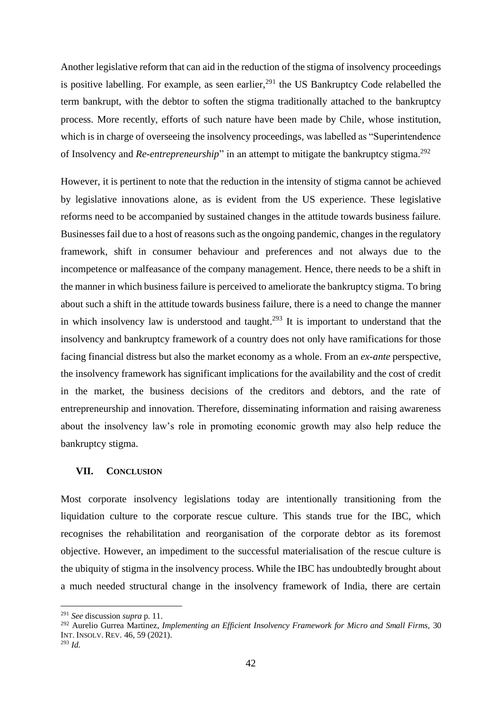Another legislative reform that can aid in the reduction of the stigma of insolvency proceedings is positive labelling. For example, as seen earlier,  $^{291}$  the US Bankruptcy Code relabelled the term bankrupt, with the debtor to soften the stigma traditionally attached to the bankruptcy process. More recently, efforts of such nature have been made by Chile, whose institution, which is in charge of overseeing the insolvency proceedings, was labelled as "Superintendence" of Insolvency and *Re-entrepreneurship*" in an attempt to mitigate the bankruptcy stigma.<sup>292</sup>

However, it is pertinent to note that the reduction in the intensity of stigma cannot be achieved by legislative innovations alone, as is evident from the US experience. These legislative reforms need to be accompanied by sustained changes in the attitude towards business failure. Businesses fail due to a host of reasons such as the ongoing pandemic, changes in the regulatory framework, shift in consumer behaviour and preferences and not always due to the incompetence or malfeasance of the company management. Hence, there needs to be a shift in the manner in which business failure is perceived to ameliorate the bankruptcy stigma. To bring about such a shift in the attitude towards business failure, there is a need to change the manner in which insolvency law is understood and taught.<sup>293</sup> It is important to understand that the insolvency and bankruptcy framework of a country does not only have ramifications for those facing financial distress but also the market economy as a whole. From an *ex-ante* perspective, the insolvency framework has significant implications for the availability and the cost of credit in the market, the business decisions of the creditors and debtors, and the rate of entrepreneurship and innovation. Therefore, disseminating information and raising awareness about the insolvency law's role in promoting economic growth may also help reduce the bankruptcy stigma.

#### <span id="page-43-0"></span>**VII. CONCLUSION**

Most corporate insolvency legislations today are intentionally transitioning from the liquidation culture to the corporate rescue culture. This stands true for the IBC, which recognises the rehabilitation and reorganisation of the corporate debtor as its foremost objective. However, an impediment to the successful materialisation of the rescue culture is the ubiquity of stigma in the insolvency process. While the IBC has undoubtedly brought about a much needed structural change in the insolvency framework of India, there are certain

<sup>291</sup> *See* discussion *supra* p. 11.

<sup>292</sup> Aurelio Gurrea Martinez, *Implementing an Efficient Insolvency Framework for Micro and Small Firms,* 30 INT. INSOLV. REV. 46, 59 (2021).